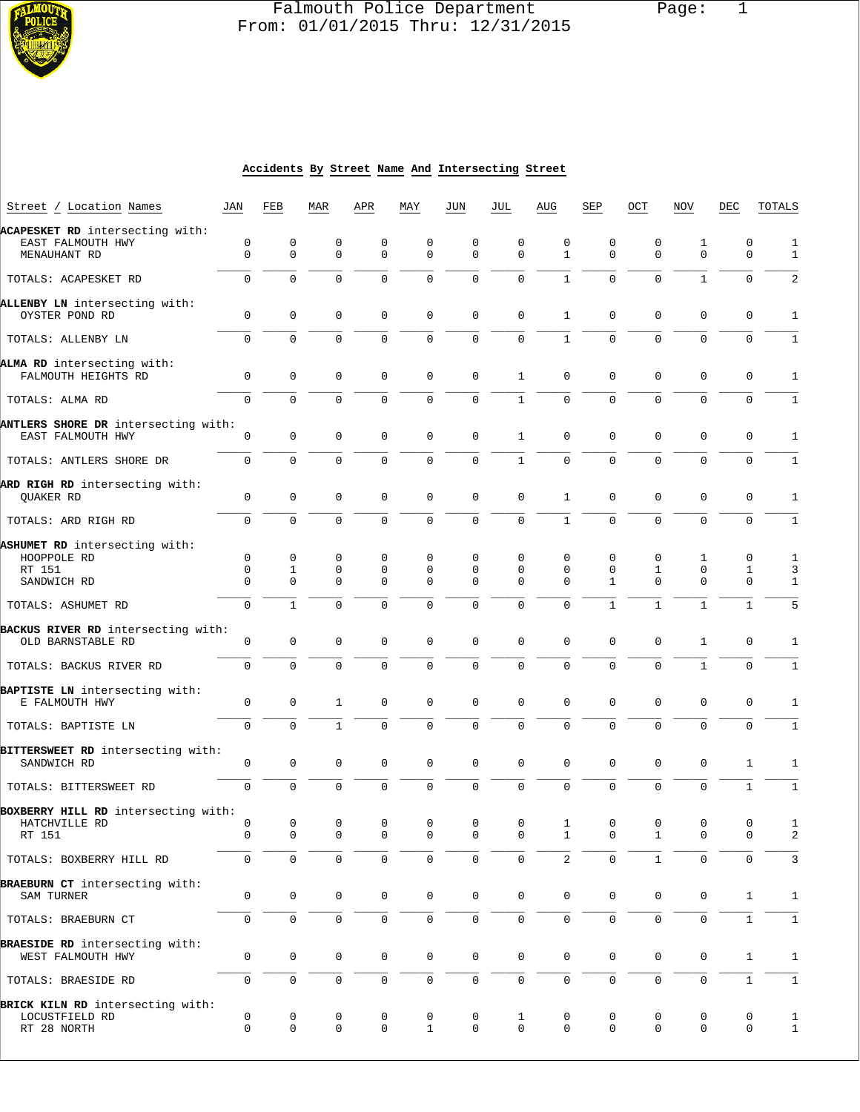

## Falmouth Police Department Page: 1  $\frac{1}{3}$  From: 01/01/2015 Thru: 12/31/2015

#### **Accidents By Street Name And Intersecting Street**

| Street / Location Names                                              | JAN           | FEB                 | MAR              | APR              | MAY               | JUN                 | JUL                     | AUG               | SEP              | OCT                 | <b>NOV</b>       | DEC              | TOTALS            |
|----------------------------------------------------------------------|---------------|---------------------|------------------|------------------|-------------------|---------------------|-------------------------|-------------------|------------------|---------------------|------------------|------------------|-------------------|
| ACAPESKET RD intersecting with:<br>EAST FALMOUTH HWY<br>MENAUHANT RD | 0<br>$\Omega$ | 0<br>$\mathbf 0$    | 0<br>$\Omega$    | 0<br>$\Omega$    | 0<br>$\Omega$     | 0<br>$\Omega$       | 0<br>$\Omega$           | 0<br>$\mathbf{1}$ | 0<br>$\mathbf 0$ | 0<br>$\mathbf 0$    | 1<br>$\Omega$    | 0<br>$\Omega$    | 1<br>$\mathbf{1}$ |
| TOTALS: ACAPESKET RD                                                 | $\mathbf 0$   | $\Omega$            | $\Omega$         | $\Omega$         | $\mathbf 0$       | $\mathbf 0$         | $\Omega$                | $\mathbf{1}$      | $\Omega$         | $\mathbf 0$         | $\mathbf{1}$     | 0                | 2                 |
|                                                                      |               |                     |                  |                  |                   |                     |                         |                   |                  |                     |                  |                  |                   |
| ALLENBY LN intersecting with:<br>OYSTER POND RD                      | $\mathbf 0$   | 0                   | $\mathbf 0$      | 0                | 0                 | $\mathbf 0$         | $\mathbf 0$             | 1                 | 0                | $\mathbf 0$         | $\mathbf 0$      | 0                | 1                 |
| TOTALS: ALLENBY LN                                                   | $\mathbf 0$   | $\mathbf 0$         | $\mathbf 0$      | 0                | 0                 | $\mathbf 0$         | $\mathbf 0$             | $\mathbf{1}$      | $\mathbf 0$      | $\mathbf 0$         | $\Omega$         | 0                | 1                 |
| ALMA RD intersecting with:<br>FALMOUTH HEIGHTS RD                    | 0             | $\mathbf 0$         | 0                | 0                | 0                 | $\mathbf 0$         | $\mathbf{1}$            | 0                 | 0                | 0                   | 0                | 0                | 1                 |
| TOTALS: ALMA RD                                                      | $\mathsf{O}$  | $\Omega$            | $\mathbf 0$      | $\Omega$         | 0                 | $\mathbf 0$         | $\mathbf{1}$            | 0                 | $\mathbf 0$      | $\mathbf 0$         | 0                | 0                | $\mathbf{1}$      |
| ANTLERS SHORE DR intersecting with:<br>EAST FALMOUTH HWY             | 0             | $\mathsf{O}\xspace$ | $\mathbf 0$      | 0                | $\mathbf 0$       | $\mathbf 0$         | $\mathbf{1}$            | $\mathbf 0$       | $\mathbf 0$      | $\mathbf 0$         | $\mathbf 0$      | $\mathbf 0$      | $\mathbf{1}$      |
| TOTALS: ANTLERS SHORE DR                                             | 0             | $\mathbf{0}$        | $\mathsf 0$      | 0                | $\mathbf 0$       | $\mathbf 0$         | $\mathbf{1}$            | $\mathbf{0}$      | $\mathbf 0$      | $\mathbf 0$         | 0                | 0                | 1                 |
| ARD RIGH RD intersecting with:<br>QUAKER RD                          | 0             | $\mathbf{0}$        | $\mathbf 0$      | 0                | $\mathbf 0$       | $\mathbf 0$         | $\mathbf 0$             | 1                 | $\mathbf 0$      | $\mathbf 0$         | 0                | 0                | 1                 |
| TOTALS: ARD RIGH RD                                                  | $\mathbf 0$   | $\mathbf 0$         | $\Omega$         | $\Omega$         | 0                 | $\mathbf 0$         | $\mathbf 0$             | $\mathbf{1}$      | $\mathbf 0$      | $\Omega$            | 0                | 0                | $\mathbf{1}$      |
| ASHUMET RD intersecting with:                                        |               |                     |                  |                  |                   |                     |                         |                   |                  |                     |                  |                  |                   |
| HOOPPOLE RD<br>RT 151                                                | 0<br>0        | 0<br>1              | 0<br>0           | 0<br>0           | $\mathbf 0$<br>0  | 0<br>0              | $\mathbf 0$<br>0        | 0<br>0            | 0<br>0           | 0<br>1              | 1<br>0           | 0<br>1           | 1                 |
| SANDWICH RD                                                          | $\Omega$      | $\Omega$            | $\Omega$         | $\Omega$         | $\Omega$          | $\Omega$            | $\Omega$                | $\Omega$          | $\mathbf{1}$     | $\Omega$            | $\Omega$         | 0                | 3<br>1            |
| TOTALS: ASHUMET RD                                                   | 0             | $\mathbf{1}$        | $\mathbf 0$      | $\Omega$         | $\mathbf 0$       | $\mathbf 0$         | $\mathbf 0$             | 0                 | $\mathbf{1}$     | $\mathbf{1}$        | $\mathbf{1}$     | $\mathbf{1}$     | 5                 |
| BACKUS RIVER RD intersecting with:<br>OLD BARNSTABLE RD              | 0             | 0                   | $\mathbf 0$      | 0                | $\mathbf{0}$      | $\mathbf 0$         | $\mathbf 0$             | $\mathbf 0$       | 0                | $\mathbf 0$         | 1                | 0                | 1                 |
| TOTALS: BACKUS RIVER RD                                              | $\mathbf 0$   | 0                   | $\mathbf 0$      | $\mathbf 0$      | $\mathbf 0$       | $\mathbf 0$         | $\mathbf 0$             | $\Omega$          | $\mathbf 0$      | $\mathbf 0$         | $\mathbf{1}$     | 0                | 1                 |
| BAPTISTE LN intersecting with:<br>E FALMOUTH HWY                     | 0             | 0                   | $\mathbf{1}$     | 0                | 0                 | $\mathbf 0$         | $\mathbf 0$             | 0                 | 0                | $\mathbf 0$         | 0                | 0                | 1                 |
| TOTALS: BAPTISTE LN                                                  | 0             | $\mathbf 0$         | $\mathbf{1}$     | 0                | 0                 | $\mathbf 0$         | $\mathbf 0$             | 0                 | $\mathbf 0$      | $\mathbf 0$         | 0                | 0                | 1                 |
| BITTERSWEET RD intersecting with:<br>SANDWICH RD                     | 0             | $\mathbf 0$         | $\mathbf 0$      | 0                | 0                 | $\mathbf 0$         | $\mathbf 0$             | 0                 | 0                | $\mathbf 0$         | 0                | 1                | 1                 |
| TOTALS: BITTERSWEET RD                                               | 0             | 0                   | $\mathbf 0$      | 0                | $\mathbf 0$       | $\mathbf 0$         | $\mathbf 0$             | 0                 | 0                | $\mathbf 0$         | 0                | $\mathbf{1}$     | $\mathbf{1}$      |
| BOXBERRY HILL RD intersecting with:                                  |               |                     |                  |                  |                   |                     |                         |                   |                  |                     |                  |                  |                   |
| HATCHVILLE RD<br>RT 151                                              | 0<br>0        | $\mathsf{O}\xspace$ | $\mathbf 0$<br>0 | $\mathbf 0$<br>0 | $\mathbf 0$<br>0  | $\mathbf 0$         | $\mathsf 0$<br>$\Omega$ | $\mathbf{1}$      | $\mathbf 0$<br>0 | $\mathbf 0$         | $\mathbf 0$<br>0 | 0<br>0           | $\mathbf 1$<br>2  |
| TOTALS: BOXBERRY HILL RD                                             | 0             | $\mathbf 0$         | $\mathbf 0$      | $\mathsf{O}$     | $\mathbf 0$       | $\mathbf 0$         | $\mathbf 0$             | 2                 | $\mathbf 0$      | $\mathbf{1}$        | $\mathbf 0$      | 0                | 3                 |
| BRAEBURN CT intersecting with:<br>SAM TURNER                         | 0             | 0                   | $\mathbf 0$      | 0                | $\mathsf 0$       | $\mathsf{O}$        | $\mathbf 0$             | $\mathbf 0$       | 0                | $\mathbf 0$         | 0                | $\mathbf{1}$     | 1                 |
| TOTALS: BRAEBURN CT                                                  | 0             | $\mathsf{O}\xspace$ | $\mathsf 0$      | 0                | 0                 | 0                   | $\mathbf 0$             | $\mathbf 0$       | 0                | $\mathbf 0$         | $\mathbf 0$      | $\mathbf{1}$     | 1                 |
| BRAESIDE RD intersecting with:<br>WEST FALMOUTH HWY                  | 0             | 0                   | $\mathsf 0$      | 0                | 0                 | $\mathsf{O}$        | $\mathbf 0$             | 0                 | 0                | $\mathbf 0$         | $\mathbf 0$      | $\mathbf{1}$     | 1                 |
| TOTALS: BRAESIDE RD                                                  | 0             | 0                   | $\mathsf 0$      | 0                | $\mathsf{O}$      | $\mathsf{O}\xspace$ | $\mathbf 0$             | 0                 | 0                | $\mathsf{O}\xspace$ | 0                | $\mathbf{1}$     | $1\,$             |
| BRICK KILN RD intersecting with:<br>LOCUSTFIELD RD<br>RT 28 NORTH    | 0<br>0        | 0<br>0              | 0<br>$\mathbf 0$ | 0<br>0           | 0<br>$\mathbf{1}$ | 0<br>0              | 1<br>$\mathbf{0}$       | 0<br>$\mathbf 0$  | 0<br>$\mathbf 0$ | 0<br>$\mathbf 0$    | 0<br>0           | 0<br>$\mathbf 0$ | 1<br>1            |
|                                                                      |               |                     |                  |                  |                   |                     |                         |                   |                  |                     |                  |                  |                   |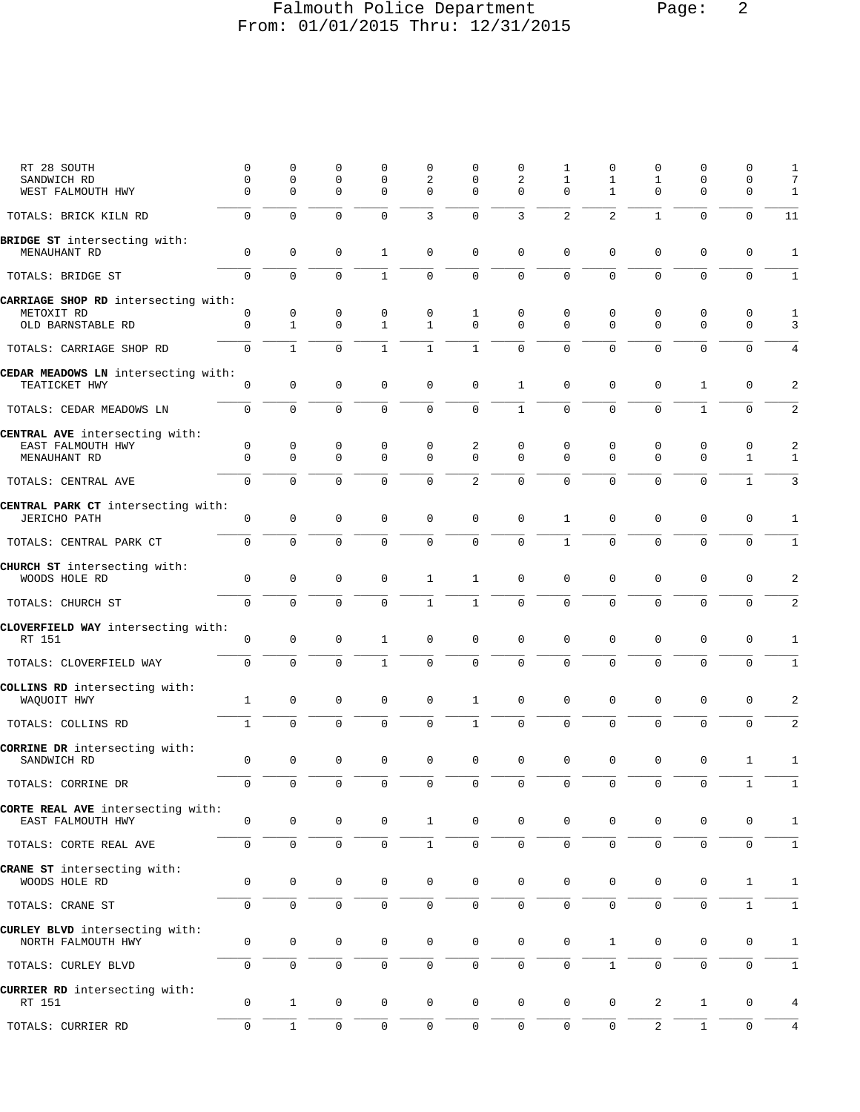### Falmouth Police Department Page: 2 From: 01/01/2015 Thru: 12/31/2015

| RT 28 SOUTH<br>SANDWICH RD<br>WEST FALMOUTH HWY           | $\mathbf 0$<br>$\mathbf 0$<br>$\mathbf 0$ | 0<br>$\mathbf 0$<br>$\mathbf 0$ | 0<br>$\mathbf 0$<br>$\mathbf 0$ | 0<br>$\mathbf 0$<br>$\mathbf 0$ | 0<br>2<br>$\mathbf 0$      | $\Omega$<br>0<br>$\Omega$ | $\mathbf 0$<br>2<br>$\Omega$ | 1<br>$\mathbf{1}$<br>$\Omega$ | 0<br>$\mathbf 1$<br>$\mathbf{1}$ | 0<br>$\mathbf{1}$<br>$\mathbf{0}$ | O<br>$\mathbf 0$<br>$\mathbf 0$ | $\Omega$<br>$\mathbf 0$<br>0 | 1<br>7<br>$\mathbf{1}$ |
|-----------------------------------------------------------|-------------------------------------------|---------------------------------|---------------------------------|---------------------------------|----------------------------|---------------------------|------------------------------|-------------------------------|----------------------------------|-----------------------------------|---------------------------------|------------------------------|------------------------|
| TOTALS: BRICK KILN RD                                     | 0                                         | $\Omega$                        | $\Omega$                        | $\Omega$                        | 3                          | $\mathbf 0$               | 3                            | $\overline{a}$                | 2                                | $\mathbf{1}$                      | $\Omega$                        | $\mathbf 0$                  | 11                     |
|                                                           |                                           |                                 |                                 |                                 |                            |                           |                              |                               |                                  |                                   |                                 |                              |                        |
| BRIDGE ST intersecting with:<br>MENAUHANT RD              | $\mathsf 0$                               | $\mathbf 0$                     | $\mathbf 0$                     | 1                               | $\mathbf 0$                | $\mathbf 0$               | $\mathbf 0$                  | 0                             | $\mathbf 0$                      | $\mathbf 0$                       | $\mathbf 0$                     | $\mathbf 0$                  | $\mathbf{1}$           |
| TOTALS: BRIDGE ST                                         | $\mathbf 0$                               | $\mathbf 0$                     | $\mathbf 0$                     | $\mathbf{1}$                    | $\mathbf 0$                | $\mathbf 0$               | $\mathbf 0$                  | $\mathbf 0$                   | $\mathbf 0$                      | $\mathbf{0}$                      | $\mathbf 0$                     | $\mathbf 0$                  | $\mathbf{1}$           |
| CARRIAGE SHOP RD intersecting with:<br>METOXIT RD         | 0                                         | 0                               | 0                               | 0                               | 0                          | 1                         | 0                            | 0                             | 0                                | 0                                 | 0                               | $\mathbf 0$                  | $\mathbf{1}$           |
| OLD BARNSTABLE RD                                         | 0                                         | $\mathbf{1}$                    | $\mathbf 0$                     | $\mathbf{1}$                    | $\mathbf{1}$               | $\mathbf 0$               | $\Omega$                     | $\Omega$                      | $\mathbf 0$                      | $\mathbf 0$                       | $\mathbf 0$                     | $\mathbf 0$                  | 3                      |
| TOTALS: CARRIAGE SHOP RD                                  | $\Omega$                                  | $\mathbf{1}$                    | $\Omega$                        | $\mathbf{1}$                    | $\mathbf{1}$               | $\mathbf{1}$              | $\Omega$                     | $\Omega$                      | $\Omega$                         | $\Omega$                          | $\Omega$                        | $\mathbf 0$                  | 4                      |
| CEDAR MEADOWS LN intersecting with:<br>TEATICKET HWY      | $\mathsf 0$                               | $\mathbf 0$                     | $\mathbf 0$                     | $\mathbf 0$                     | $\mathbf 0$                | $\mathbf 0$               | $\mathbf{1}$                 | 0                             | 0                                | 0                                 | $\mathbf{1}$                    | $\mathbf 0$                  | 2                      |
| TOTALS: CEDAR MEADOWS LN                                  | $\overline{0}$                            | $\mathbf 0$                     | $\mathbf 0$                     | $\mathbf 0$                     | $\mathbf 0$                | $\mathsf{O}\xspace$       | $\mathbf{1}$                 | $\mathbf 0$                   | $\mathbf 0$                      | $\mathbf 0$                       | $\mathbf{1}$                    | $\mathbf 0$                  | 2                      |
| CENTRAL AVE intersecting with:                            |                                           |                                 |                                 |                                 |                            |                           |                              |                               |                                  |                                   |                                 |                              |                        |
| EAST FALMOUTH HWY<br>MENAUHANT RD                         | $\mathsf 0$<br>$\Omega$                   | $\mathbf 0$<br>$\mathbf 0$      | 0<br>$\mathbf 0$                | 0<br>$\mathbf 0$                | $\mathbf 0$<br>$\mathbf 0$ | 2<br>$\mathbf 0$          | $\mathbf 0$<br>$\Omega$      | 0<br>$\Omega$                 | 0<br>$\mathbf 0$                 | 0<br>$\mathbf{0}$                 | $\mathsf 0$<br>$\mathbf 0$      | $\mathsf 0$<br>$\mathbf{1}$  | 2<br>$\mathbf{1}$      |
| TOTALS: CENTRAL AVE                                       | $\Omega$                                  | $\Omega$                        | $\Omega$                        | $\Omega$                        | $\Omega$                   | $\overline{2}$            | $\Omega$                     | $\Omega$                      | $\Omega$                         | $\Omega$                          | $\Omega$                        | $\mathbf{1}$                 | 3                      |
| CENTRAL PARK CT intersecting with:<br><b>JERICHO PATH</b> | $\mathsf 0$                               | $\mathbf 0$                     | $\mathbf 0$                     | $\mathbf 0$                     | $\mathbf 0$                | $\mathbf 0$               | $\mathbf 0$                  | $\mathbf{1}$                  | $\mathsf 0$                      | $\mathbf{0}$                      | $\mathsf 0$                     | $\mathbf 0$                  | 1                      |
| TOTALS: CENTRAL PARK CT                                   | $\overline{0}$                            | $\mathbf 0$                     | $\mathbf 0$                     | $\mathbf 0$                     | $\mathbf 0$                | $\mathbf 0$               | $\mathbf 0$                  | $\mathbf{1}$                  | $\mathbf 0$                      | $\mathbf 0$                       | $\mathbf 0$                     | $\mathbf 0$                  | 1                      |
| CHURCH ST intersecting with:<br>WOODS HOLE RD             | 0                                         | $\mathbf 0$                     | $\mathbf 0$                     | $\mathbf 0$                     | $\mathbf{1}$               | $\mathbf{1}$              | $\mathbf 0$                  | 0                             | 0                                | $\mathbf 0$                       | $\mathbf 0$                     | $\mathbf 0$                  | 2                      |
| TOTALS: CHURCH ST                                         | $\mathsf{O}$                              | $\Omega$                        | $\mathbf 0$                     | $\Omega$                        | $\mathbf{1}$               | $\mathbf{1}$              | 0                            | 0                             | $\mathbf 0$                      | $\mathbf{0}$                      | $\mathbf 0$                     | $\mathbf 0$                  | 2                      |
| CLOVERFIELD WAY intersecting with:                        |                                           |                                 |                                 |                                 |                            |                           |                              |                               |                                  |                                   |                                 |                              |                        |
| RT 151                                                    | $\mathsf 0$                               | $\mathsf{O}\xspace$             | $\mathbf 0$                     | $\mathbf{1}$                    | $\mathsf{O}\xspace$        | $\mathbf 0$               | $\mathbf 0$                  | 0                             | 0                                | $\mathbf{0}$                      | $\mathbf 0$                     | $\mathbf 0$                  | $\mathbf{1}$           |
| TOTALS: CLOVERFIELD WAY                                   | $\overline{0}$                            | $\mathbf 0$                     | $\mathbf 0$                     | $\mathbf{1}$                    | $\mathbf 0$                | $\mathbf 0$               | 0                            | $\overline{0}$                | $\mathbf 0$                      | $\mathbf{0}$                      | $\mathbf 0$                     | $\mathbf 0$                  | $\mathbf{1}$           |
| COLLINS RD intersecting with:<br>WAQUOIT HWY              | $\mathbf 1$                               | $\mathbf 0$                     | $\mathbf 0$                     | $\mathbf 0$                     | $\mathbf 0$                | $\mathbf{1}$              | $\mathbf 0$                  | 0                             | $\mathbf 0$                      | $\mathbf 0$                       | $\mathbf 0$                     | $\mathbf 0$                  | 2                      |
| TOTALS: COLLINS RD                                        | $\mathbf{1}$                              | $\mathbf 0$                     | $\mathbf 0$                     | $\Omega$                        | $\mathbf 0$                | $\mathbf{1}$              | $\mathbf 0$                  | $\overline{0}$                | $\mathbf 0$                      | $\mathbf 0$                       | $\Omega$                        | $\mathbf 0$                  | 2                      |
| CORRINE DR intersecting with:<br>SANDWICH RD              | 0                                         | $\mathbf 0$                     | $\mathbf 0$                     | 0                               | $\mathbf 0$                | 0                         | $\mathbf 0$                  | 0                             | $\mathbf 0$                      | $\mathbf{0}$                      | 0                               | 1                            | 1                      |
| TOTALS: CORRINE DR                                        | $\cup$                                    | $\cup$                          | $\mathbf 0$                     | $\mathbf 0$                     | $\mathbf 0$                | $\cup$                    | $\cup$                       | 0                             | 0                                | $\mathbf 0$                       | $\mathbf 0$                     | $\mathbf{1}$                 | ı                      |
| CORTE REAL AVE intersecting with:<br>EAST FALMOUTH HWY    | $\mathsf 0$                               | $\mathsf 0$                     | 0                               | 0                               | $\mathbf{1}$               | $\mathbf 0$               | $\mathbf 0$                  | 0                             | $\mathsf 0$                      | 0                                 | 0                               | 0                            | 1                      |
| TOTALS: CORTE REAL AVE                                    | 0                                         | $\mathsf{O}$                    | $\mathsf{O}\xspace$             | $\mathbf 0$                     | $\mathbf{1}$               | 0                         | $\mathbf 0$                  | 0                             | 0                                | $\mathsf{O}\xspace$               | $\mathbf 0$                     | $\mathbf 0$                  | $\mathbf{1}$           |
| CRANE ST intersecting with:<br>WOODS HOLE RD              | $\mathsf 0$                               | $\mathsf{O}$                    | $\mathbf 0$                     | $\mathsf{O}\xspace$             | $\mathbb O$                | $\mathsf 0$               | $\mathbf 0$                  | 0                             | 0                                | $\mathbf 0$                       | 0                               | $\mathbf{1}$                 | $\mathbf{1}$           |
| TOTALS: CRANE ST                                          | 0                                         | $\mathsf{O}\xspace$             | $\mathsf 0$                     | 0                               | $\mathsf{O}\xspace$        | $\mathsf{O}\xspace$       | 0                            | $\mathsf 0$                   | $\mathsf 0$                      | $\mathsf{O}\xspace$               | $\mathsf{O}\xspace$             | $\mathbf 1$                  | $\mathbf{1}$           |
|                                                           |                                           |                                 |                                 |                                 |                            |                           |                              |                               |                                  |                                   |                                 |                              |                        |
| CURLEY BLVD intersecting with:<br>NORTH FALMOUTH HWY      | 0                                         | 0                               | 0                               | 0                               | $\mathsf{O}\xspace$        | $\mathbf 0$               | $\mathsf{O}\xspace$          | $\mathsf 0$                   | $\mathbf{1}$                     | 0                                 | $\mathbf 0$                     | 0                            | $\mathbf{1}$           |
| TOTALS: CURLEY BLVD                                       | 0                                         | $\mathbf 0$                     | $\mathsf{O}\xspace$             | $\mathbf 0$                     | $\mathsf 0$                | $\mathsf 0$               | 0                            | 0                             | $\mathbf{1}$                     | $\mathsf{O}\xspace$               | $\mathsf{O}\xspace$             | $\mathsf{O}\xspace$          | $\mathbf{1}$           |
| CURRIER RD intersecting with:<br>RT 151                   | 0                                         | $\mathbf{1}$                    | $\mathbf 0$                     | 0                               | $\mathbf 0$                | $\mathbf 0$               | $\mathsf{O}$                 | $\mathsf 0$                   | 0                                | 2                                 | $\mathbf{1}$                    | 0                            | 4                      |
| TOTALS: CURRIER RD                                        | $\mathbf 0$                               | $\mathbf{1}$                    | $\mathsf{O}\xspace$             | 0                               | $\mathbb O$                | $\mathbb O$               | 0                            | $\mathsf{O}\xspace$           | $\mathsf{O}\xspace$              | 2                                 | $1\,$                           | $\mathsf{O}\xspace$          | $\overline{4}$         |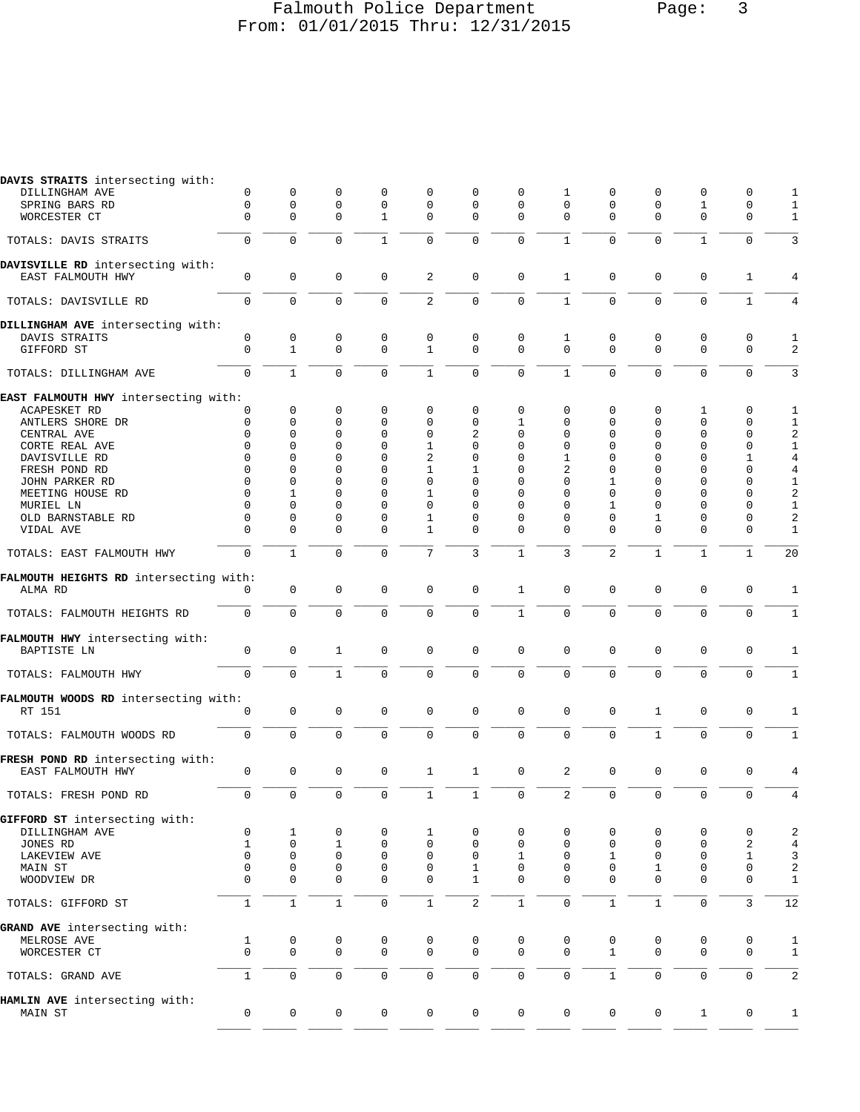### Falmouth Police Department Page: 3 From: 01/01/2015 Thru: 12/31/2015

| DAVIS STRAITS intersecting with:       |                  |                   |                  |                  |                  |                  |               |                |                |               |                  |                  |                |
|----------------------------------------|------------------|-------------------|------------------|------------------|------------------|------------------|---------------|----------------|----------------|---------------|------------------|------------------|----------------|
| DILLINGHAM AVE                         | 0                | 0                 | 0                | 0                | 0                | 0                | 0             | 1              | 0              | 0             | 0                | 0                | 1              |
| SPRING BARS RD                         | 0                | 0                 | 0                | $\mathbf 0$      | $\mathbf 0$      | 0                | $\Omega$      | $\Omega$       | 0              | 0             | 1                | 0                | 1              |
| WORCESTER CT                           | $\mathbf 0$      | 0                 | $\mathbf 0$      | $\mathbf{1}$     | $\mathbf{0}$     | $\mathbf 0$      | $\mathbf 0$   | $\mathbf 0$    | $\Omega$       | $\mathbf 0$   | $\Omega$         | $\mathbf 0$      | $1\,$          |
| TOTALS: DAVIS STRAITS                  | 0                | $\mathbf 0$       | $\mathbf 0$      | $\mathbf{1}$     | $\mathbf 0$      | $\mathbf 0$      | $\mathbf 0$   | $\mathbf{1}$   | $\mathbf 0$    | $\mathbf 0$   | $\mathbf{1}$     | $\mathbf 0$      | 3              |
| DAVISVILLE RD intersecting with:       |                  |                   |                  |                  |                  |                  |               |                |                |               |                  |                  |                |
| EAST FALMOUTH HWY                      | $\mathbf 0$      | $\mathbf 0$       | 0                | $\mathbf 0$      | 2                | $\mathbf 0$      | 0             | $\mathbf{1}$   | $\mathbf 0$    | $\mathbf 0$   | $\mathbf 0$      | 1                | 4              |
|                                        |                  |                   |                  |                  |                  |                  |               |                |                |               |                  |                  |                |
| TOTALS: DAVISVILLE RD                  | $\mathbf 0$      | $\mathbf 0$       | $\mathbf 0$      | $\mathbf 0$      | $\mathbf{2}$     | $\mathbf 0$      | $\mathbf 0$   | $\mathbf{1}$   | $\mathbf 0$    | $\Omega$      | $\mathbf{0}$     | $\mathbf{1}$     | 4              |
| DILLINGHAM AVE intersecting with:      |                  |                   |                  |                  |                  |                  |               |                |                |               |                  |                  |                |
| DAVIS STRAITS                          | 0<br>$\mathsf 0$ | 0<br>$\mathbf{1}$ | 0<br>$\mathbf 0$ | 0<br>$\mathbf 0$ | 0<br>$\mathbf 1$ | 0<br>$\mathbf 0$ | 0<br>$\Omega$ | 1<br>$\Omega$  | 0<br>$\Omega$  | 0<br>$\Omega$ | 0<br>$\mathbf 0$ | 0<br>$\mathbf 0$ | 1              |
| GIFFORD ST                             |                  |                   |                  |                  |                  |                  |               |                |                |               |                  |                  | 2              |
| TOTALS: DILLINGHAM AVE                 | $\mathbf 0$      | $\mathbf{1}$      | $\mathbf 0$      | 0                | $\mathbf{1}$     | $\mathbf 0$      | $\mathbf 0$   | $\mathbf{1}$   | $\Omega$       | $\Omega$      | $\overline{0}$   | $\Omega$         | 3              |
| EAST FALMOUTH HWY intersecting with:   |                  |                   |                  |                  |                  |                  |               |                |                |               |                  |                  |                |
| ACAPESKET RD                           | 0                | $\mathbf 0$       | 0                | 0                | 0                | 0                | $\mathbf 0$   | 0              | 0              | 0             | 1                | $\mathbf 0$      | 1              |
| ANTLERS SHORE DR                       | 0                | 0                 | 0                | 0                | 0                | 0                | 1             | 0              | 0              | 0             | 0                | 0                | 1              |
| CENTRAL AVE                            | 0                | 0                 | 0                | 0                | 0                | 2                | 0             | 0              | 0              | $\Omega$      | 0                | 0                | $\sqrt{2}$     |
| CORTE REAL AVE                         | 0                | 0                 | 0                | 0                | 1                | 0                | $\mathbf 0$   | 0              | 0              | 0             | 0                | $\mathbf 0$      | $\mathbf{1}$   |
| DAVISVILLE RD                          | 0                | 0                 | 0                | 0                | 2                | 0                | $\mathbf 0$   | 1              | 0              | 0             | 0                | 1                | $\overline{4}$ |
| FRESH POND RD                          | $\Omega$         | 0                 | 0                | 0                | 1                | 1                | $\Omega$      | 2              | 0              | $\Omega$      | 0                | 0                | 4              |
|                                        | $\Omega$         | 0                 | 0                | 0                | $\mathbf 0$      | 0                | $\Omega$      | $\Omega$       | 1              | $\Omega$      | 0                | $\mathbf 0$      | $\mathbf{1}$   |
| JOHN PARKER RD                         |                  |                   |                  |                  |                  |                  |               |                |                |               |                  |                  |                |
| MEETING HOUSE RD                       | $\Omega$         | 1                 | 0                | 0                | 1                | 0                | $\Omega$      | $\Omega$       | 0              | 0             | 0                | 0                | $\sqrt{2}$     |
| MURIEL LN                              | 0                | 0                 | 0                | 0                | 0                | 0                | $\Omega$      | $\Omega$       | 1              | $\Omega$      | 0                | 0                | $\mathbf{1}$   |
| OLD BARNSTABLE RD                      | 0                | 0                 | 0                | 0                | 1                | 0                | 0             | $\Omega$       | 0              | 1             | 0                | 0                | $\sqrt{2}$     |
| VIDAL AVE                              | $\Omega$         | 0                 | 0                | 0                | 1                | 0                | $\mathbf 0$   | $\Omega$       | $\Omega$       | $\Omega$      | 0                | 0                | $\mathbf 1$    |
| TOTALS: EAST FALMOUTH HWY              | 0                | $\mathbf{1}$      | $\mathbf 0$      | $\mathbf 0$      | 7                | 3                | $\mathbf{1}$  | 3              | $\overline{a}$ | $\mathbf{1}$  | $\mathbf{1}$     | $\mathbf{1}$     | 20             |
| FALMOUTH HEIGHTS RD intersecting with: |                  |                   |                  |                  |                  |                  |               |                |                |               |                  |                  |                |
| ALMA RD                                | 0                | $\mathbf 0$       | 0                | $\mathbf 0$      | 0                | 0                | 1             | $\Omega$       | 0              | 0             | $\mathbf 0$      | 0                | 1              |
|                                        |                  |                   |                  |                  |                  |                  |               |                |                |               |                  |                  |                |
| TOTALS: FALMOUTH HEIGHTS RD            | $\mathbf 0$      | $\mathbf 0$       | $\mathbf 0$      | $\mathbf 0$      | $\mathbf 0$      | $\mathsf{O}$     | $\mathbf{1}$  | $\mathbf 0$    | $\mathbf 0$    | $\mathbf 0$   | $\mathbf 0$      | $\mathbf 0$      | 1              |
| FALMOUTH HWY intersecting with:        |                  |                   |                  |                  |                  |                  |               |                |                |               |                  |                  |                |
| <b>BAPTISTE LN</b>                     | 0                | $\mathsf 0$       | 1                | $\mathbf 0$      | $\mathbf{0}$     | $\mathbf 0$      | $\mathbf 0$   | $\mathbf 0$    | $\mathbf 0$    | $\mathbf 0$   | $\mathbf 0$      | $\mathbf 0$      | 1              |
|                                        |                  |                   |                  |                  |                  |                  |               |                |                |               |                  |                  |                |
| TOTALS: FALMOUTH HWY                   | $\mathbf 0$      | $\mathbf 0$       | $\mathbf{1}$     | $\Omega$         | $\mathbf 0$      | $\mathbf 0$      | $\Omega$      | $\Omega$       | 0              | $\mathbf 0$   | $\mathbf{0}$     | $\mathbf 0$      | $\mathbf{1}$   |
| FALMOUTH WOODS RD intersecting with:   |                  |                   |                  |                  |                  |                  |               |                |                |               |                  |                  |                |
| RT 151                                 | 0                | $\mathbf 0$       | $\mathsf 0$      | 0                | 0                | $\mathbf 0$      | $\mathsf 0$   | 0              | 0              | $\mathbf{1}$  | $\mathbf 0$      | 0                | 1              |
| TOTALS: FALMOUTH WOODS RD              | $\mathbf 0$      | $\mathbf 0$       | $\mathbf 0$      | 0                | $\mathbf 0$      | $\mathbf 0$      | $\mathbf 0$   | $\Omega$       | 0              | $\mathbf{1}$  | $\mathbf 0$      | $\Omega$         | $\mathbf{1}$   |
| FRESH POND RD intersecting with:       |                  |                   |                  |                  |                  |                  |               |                |                |               |                  |                  |                |
| EAST FALMOUTH HWY                      | 0                | $\mathbf 0$       | 0                | 0                | $\mathbf{1}$     | $\mathbf{1}$     | $\mathsf 0$   | 2              | 0              | 0             | 0                | 0                | 4              |
| TOTALS: FRESH POND RD                  | 0                | $\mathbf 0$       | $\mathsf 0$      | $\mathbf 0$      | $\mathbf{1}$     | $\mathbf{1}$     | $\mathsf 0$   | $\overline{a}$ | $\mathsf 0$    | $\mathbf 0$   | $\mathbf 0$      | $\mathbf 0$      | $\,4$          |
| GIFFORD ST intersecting with:          |                  |                   |                  |                  |                  |                  |               |                |                |               |                  |                  |                |
| DILLINGHAM AVE                         |                  |                   |                  |                  |                  |                  |               |                |                |               |                  |                  |                |
|                                        | 0                | 1                 | 0                | 0                | 1                | 0                | 0             | 0              | 0              | 0             | 0                | 0                | $\sqrt{2}$     |
| JONES RD                               | $\mathbf{1}$     | $\mathbf 0$       | $\mathbf{1}$     | $\mathbf 0$      | $\mathbf 0$      | $\mathbf 0$      | $\mathbf 0$   | 0              | $\mathbf 0$    | $\mathbf 0$   | $\mathbf 0$      | 2                | $\overline{4}$ |
| LAKEVIEW AVE                           | $\mathbf 0$      | $\mathsf 0$       | $\mathsf 0$      | 0                | $\mathbf 0$      | 0                | $\mathbf{1}$  | $\mathsf 0$    | $\mathbf 1$    | 0             | $\mathbf 0$      | $\mathbf{1}$     | $\mathsf{3}$   |
| MAIN ST                                | $\mathbf 0$      | $\mathbf 0$       | $\mathsf 0$      | 0                | $\mathsf 0$      | $\mathbf{1}$     | 0             | $\mathbf 0$    | $\mathbf 0$    | 1             | $\mathbf 0$      | $\mathbf 0$      | $\sqrt{2}$     |
| WOODVIEW DR                            | $\mathbf 0$      | $\mathbf 0$       | $\mathbf 0$      | $\mathsf 0$      | $\mathsf 0$      | $\mathbf{1}$     | $\mathbf 0$   | $\mathbf 0$    | $\mathbf 0$    | $\mathbf 0$   | $\mathbf 0$      | $\mathbf 0$      | $\mathbf 1$    |
| TOTALS: GIFFORD ST                     | $\mathbf{1}$     | $\mathbf{1}$      | $\mathbf 1$      | 0                | $\mathbf{1}$     | $\overline{a}$   | $\mathbf{1}$  | 0              | $\mathbf{1}$   | $\mathbf{1}$  | $\mathbf 0$      | 3                | 12             |
| GRAND AVE intersecting with:           |                  |                   |                  |                  |                  |                  |               |                |                |               |                  |                  |                |
| MELROSE AVE                            | 1                | 0                 | 0                | 0                | 0                | $\mathbf 0$      | 0             | 0              | 0              | 0             | 0                | 0                | 1              |
| WORCESTER CT                           | $\Omega$         | $\mathbf{0}$      | $\mathbf 0$      | $\mathbf 0$      | $\mathbf 0$      | 0                | $\mathbf 0$   | $\Omega$       | $\mathbf{1}$   | 0             | $\mathbf 0$      | $\mathbf 0$      | $\mathbf 1$    |
|                                        |                  |                   |                  |                  |                  |                  |               |                |                |               |                  |                  |                |
| TOTALS: GRAND AVE                      | $\mathbf{1}$     | 0                 | 0                | 0                | 0                | 0                | 0             | 0              | $\mathbf{1}$   | 0             | $\mathbf 0$      | 0                | 2              |
| HAMLIN AVE intersecting with:          |                  |                   |                  |                  |                  |                  |               |                |                |               |                  |                  |                |
| MAIN ST                                | 0                | 0                 | 0                | 0                | 0                | 0                | 0             | 0              | 0              | 0             | $\mathbf{1}$     | 0                | 1              |
|                                        |                  |                   |                  |                  |                  |                  |               |                |                |               |                  |                  |                |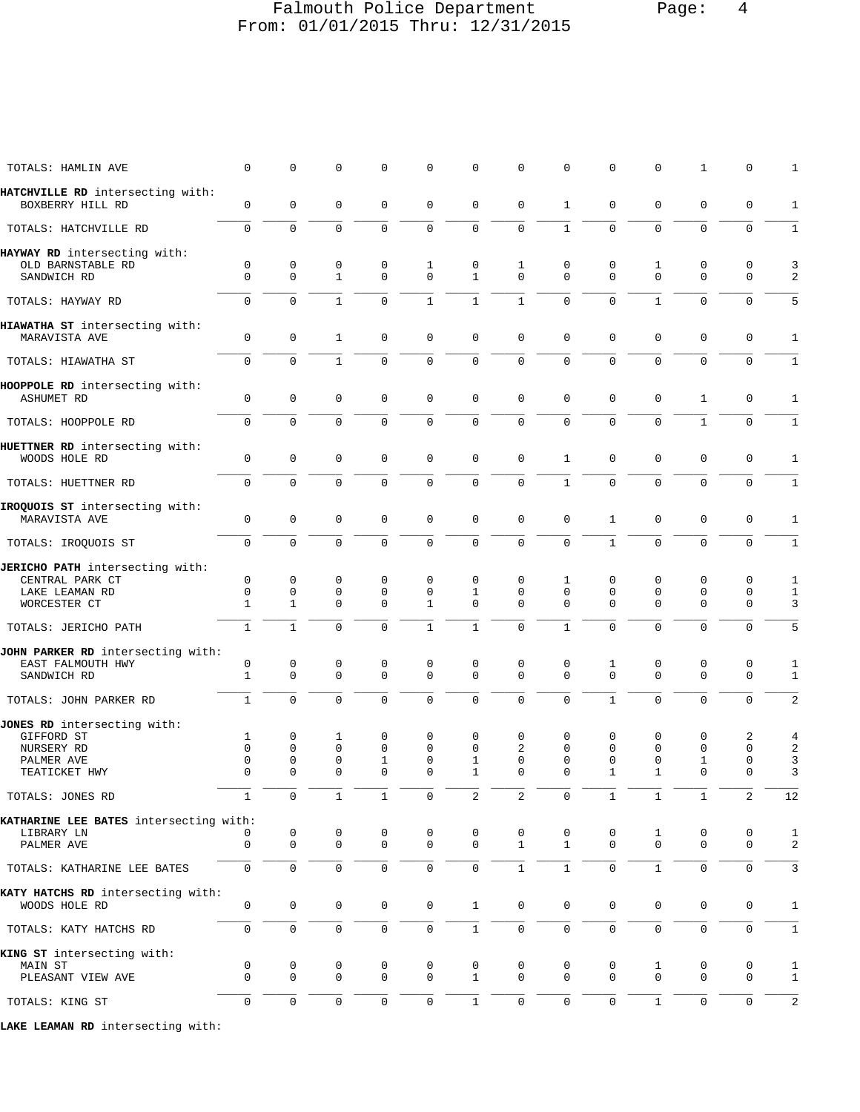### Falmouth Police Department Page: 4 From: 01/01/2015 Thru: 12/31/2015

| TOTALS: HAMLIN AVE                                                                     | 0                                 | 0                                           | 0                                           | 0                                            | 0                                           | 0                                     | 0                                           | 0                       | 0                                     | 0                                               | $\mathbf{1}$                       | 0                                           | 1                      |
|----------------------------------------------------------------------------------------|-----------------------------------|---------------------------------------------|---------------------------------------------|----------------------------------------------|---------------------------------------------|---------------------------------------|---------------------------------------------|-------------------------|---------------------------------------|-------------------------------------------------|------------------------------------|---------------------------------------------|------------------------|
| HATCHVILLE RD intersecting with:<br>BOXBERRY HILL RD                                   | 0                                 | $\mathbf 0$                                 | $\mathbf 0$                                 | 0                                            | $\mathbf 0$                                 | $\mathbf 0$                           | $\mathbf 0$                                 | $\mathbf{1}$            | $\mathbf 0$                           | $\mathbf 0$                                     | $\mathbf{0}$                       | $\mathbf 0$                                 | 1                      |
| TOTALS: HATCHVILLE RD                                                                  | $\Omega$                          | $\Omega$                                    | $\mathbf 0$                                 | $\Omega$                                     | $\Omega$                                    | $\mathbf 0$                           | $\mathbf 0$                                 | $\mathbf{1}$            | $\Omega$                              | $\Omega$                                        | $\Omega$                           | $\mathbf 0$                                 | $\mathbf{1}$           |
| HAYWAY RD intersecting with:<br>OLD BARNSTABLE RD<br>SANDWICH RD                       | 0<br>$\Omega$                     | $\mathbf 0$<br>$\mathbf 0$                  | 0<br>$\mathbf{1}$                           | 0<br>$\Omega$                                | 1<br>$\mathbf 0$                            | 0<br>$\mathbf{1}$                     | 1<br>$\Omega$                               | 0<br>$\Omega$           | 0<br>$\Omega$                         | 1<br>$\Omega$                                   | 0<br>$\Omega$                      | 0<br>$\Omega$                               | 3<br>2                 |
| TOTALS: HAYWAY RD                                                                      | 0                                 | $\mathbf 0$                                 | $\mathbf{1}$                                | $\Omega$                                     | $\mathbf{1}$                                | $\mathbf{1}$                          | $\mathbf{1}$                                | 0                       | $\mathbf 0$                           | $\mathbf{1}$                                    | $\Omega$                           | $\mathbf 0$                                 | 5                      |
| HIAWATHA ST intersecting with:<br>MARAVISTA AVE                                        | 0                                 | $\mathbf 0$                                 | $\mathbf{1}$                                | 0                                            | $\mathbf 0$                                 | $\mathbf 0$                           | $\mathbf 0$                                 | 0                       | $\mathbf 0$                           | $\mathbf 0$                                     | $\mathbf 0$                        | $\mathbf 0$                                 | 1                      |
| TOTALS: HIAWATHA ST                                                                    | 0                                 | $\Omega$                                    | $\mathbf{1}$                                | $\Omega$                                     | $\Omega$                                    | $\mathbf 0$                           | $\Omega$                                    | $\Omega$                | $\Omega$                              | $\Omega$                                        | $\Omega$                           | $\mathbf 0$                                 | $\mathbf{1}$           |
| HOOPPOLE RD intersecting with:<br>ASHUMET RD                                           | 0                                 | $\mathsf{O}\xspace$                         | $\mathbf 0$                                 | 0                                            | $\mathbf 0$                                 | $\mathbf 0$                           | $\mathbf 0$                                 | 0                       | 0                                     | $\mathsf 0$                                     | $\mathbf{1}$                       | $\mathbf 0$                                 | $\mathbf{1}$           |
| TOTALS: HOOPPOLE RD                                                                    | 0                                 | $\mathbf 0$                                 | $\mathbf 0$                                 | $\mathbf 0$                                  | $\mathbf 0$                                 | $\mathbf 0$                           | $\mathbf 0$                                 | 0                       | $\mathbf 0$                           | $\mathbf 0$                                     | $\mathbf{1}$                       | $\mathbf 0$                                 | $\mathbf{1}$           |
| HUETTNER RD intersecting with:<br>WOODS HOLE RD                                        | $\mathbf 0$                       | $\mathbf 0$                                 | $\mathbf 0$                                 | $\mathbf 0$                                  | $\mathbf 0$                                 | $\mathbf 0$                           | $\mathbf 0$                                 | $\mathbf{1}$            | $\mathbf 0$                           | $\mathbf 0$                                     | $\mathbf 0$                        | $\mathbf 0$                                 | $\mathbf{1}$           |
| TOTALS: HUETTNER RD                                                                    | $\mathbf 0$                       | $\mathbf 0$                                 | $\Omega$                                    | $\mathbf 0$                                  | $\mathbf 0$                                 | $\mathbf 0$                           | $\mathbf 0$                                 | $\mathbf{1}$            | $\mathbf 0$                           | 0                                               | $\Omega$                           | $\mathbf 0$                                 | $\mathbf{1}$           |
| IROQUOIS ST intersecting with:<br>MARAVISTA AVE                                        | $\mathbf 0$                       | $\mathbf 0$                                 | $\mathbf 0$                                 | $\mathbf 0$                                  | $\mathbf 0$                                 | $\mathbf 0$                           | $\mathbf 0$                                 | $\mathbf 0$             | $\mathbf{1}$                          | $\mathbf 0$                                     | $\mathbf 0$                        | $\mathbf 0$                                 | $\mathbf{1}$           |
| TOTALS: IROQUOIS ST                                                                    | $\mathsf{O}$                      | $\Omega$                                    | $\Omega$                                    | $\Omega$                                     | $\Omega$                                    | $\mathbf 0$                           | $\Omega$                                    | $\Omega$                | $\mathbf{1}$                          | $\Omega$                                        | $\Omega$                           | $\mathbf 0$                                 | 1                      |
| JERICHO PATH intersecting with:<br>CENTRAL PARK CT<br>LAKE LEAMAN RD<br>WORCESTER CT   | 0<br>0<br>$\mathbf{1}$            | 0<br>$\mathbf 0$<br>$\mathbf{1}$            | 0<br>$\mathbf 0$<br>$\mathbf 0$             | 0<br>$\mathsf 0$<br>$\Omega$                 | $\mathbf 0$<br>0<br>$\mathbf{1}$            | 0<br>$\mathbf{1}$<br>$\Omega$         | $\mathbf 0$<br>$\mathbf 0$<br>$\Omega$      | 1<br>0<br>$\Omega$      | 0<br>$\mathbf 0$<br>$\Omega$          | 0<br>0<br>$\Omega$                              | 0<br>$\mathsf 0$<br>$\Omega$       | 0<br>$\mathbf 0$<br>$\mathbf 0$             | 1<br>$\mathbf{1}$<br>3 |
| TOTALS: JERICHO PATH                                                                   | $\mathbf{1}$                      | $\mathbf{1}$                                | $\Omega$                                    | $\Omega$                                     | $\mathbf{1}$                                | $\mathbf{1}$                          | $\Omega$                                    | $\mathbf{1}$            | $\Omega$                              | $\Omega$                                        | $\Omega$                           | $\mathbf 0$                                 | 5                      |
| JOHN PARKER RD intersecting with:<br>EAST FALMOUTH HWY<br>SANDWICH RD                  | 0<br>$\mathbf 1$                  | 0<br>$\mathbf 0$                            | 0<br>$\mathbf 0$                            | 0<br>$\mathbf 0$                             | 0<br>$\mathbf 0$                            | 0<br>$\mathbf 0$                      | $\mathbf 0$<br>$\Omega$                     | 0<br>$\Omega$           | 1<br>$\Omega$                         | 0<br>0                                          | 0<br>$\mathbf{0}$                  | 0<br>$\mathbf 0$                            | 1<br>1                 |
| TOTALS: JOHN PARKER RD                                                                 | $\mathbf{1}$                      | $\mathbf 0$                                 | $\mathbf 0$                                 | $\mathbf 0$                                  | $\mathbf 0$                                 | $\mathbf 0$                           | $\mathbf 0$                                 | $\overline{0}$          | $\mathbf{1}$                          | $\mathbf 0$                                     | 0                                  | $\mathbf 0$                                 | $\overline{2}$         |
| JONES RD intersecting with:<br>GIFFORD ST<br>NURSERY RD<br>PALMER AVE<br>TEATICKET HWY | 1<br>$\mathbf 0$<br>0<br>$\Omega$ | $\mathsf 0$<br>$\mathbf 0$<br>0<br>$\Omega$ | 1<br>$\mathbf 0$<br>$\mathbf 0$<br>$\Omega$ | 0<br>$\mathbf 0$<br>$\mathbf{1}$<br>$\Omega$ | 0<br>$\mathbf 0$<br>$\mathbf 0$<br>$\Omega$ | 0<br>$\mathbf 0$<br>1<br>$\mathbf{1}$ | $\mathbf 0$<br>2<br>$\mathbf 0$<br>$\Omega$ | 0<br>0<br>0<br>$\Omega$ | 0<br>$\mathbf 0$<br>0<br>$\mathbf{1}$ | 0<br>$\mathbf 0$<br>$\mathsf 0$<br>$\mathbf{1}$ | 0<br>$\mathbf{0}$<br>1<br>$\Omega$ | 2<br>$\mathbf 0$<br>$\mathbf 0$<br>$\Omega$ | 4<br>2<br>3<br>3       |
| TOTALS: JONES RD                                                                       | Τ.                                | $\overline{0}$                              | $\perp$                                     |                                              |                                             |                                       |                                             | U                       | $\perp$                               |                                                 |                                    |                                             | 12                     |
| KATHARINE LEE BATES intersecting with:<br>LIBRARY LN                                   |                                   | 0                                           | 0                                           | 0                                            | 0                                           | 0                                     | 0                                           | 0                       | 0                                     | 1                                               | 0                                  | 0                                           | 1                      |
| PALMER AVE                                                                             | 0                                 | 0                                           | $\mathbf 0$                                 | 0                                            | 0                                           | $\mathbf 0$                           | 1                                           | $\mathbf{1}$            | 0                                     | $\mathbf 0$                                     | 0                                  | 0                                           | 2                      |
| TOTALS: KATHARINE LEE BATES                                                            | $\mathbf 0$                       | $\mathsf{O}\xspace$                         | $\mathsf 0$                                 | 0                                            | $\mathbf 0$                                 | $\mathsf 0$                           | $\mathbf{1}$                                | $\mathbf{1}$            | $\mathbf 0$                           | $\mathbf{1}$                                    | 0                                  | $\mathbf 0$                                 | 3                      |
| KATY HATCHS RD intersecting with:<br>WOODS HOLE RD                                     | 0                                 | 0                                           | 0                                           | 0                                            | $\mathbf 0$                                 | $\mathbf{1}$                          | 0                                           | $\mathbf 0$             | $\mathsf{O}$                          | 0                                               | 0                                  | 0                                           | 1                      |
| TOTALS: KATY HATCHS RD                                                                 | 0                                 | 0                                           | 0                                           | 0                                            | $\mathbf 0$                                 | $\mathbf{1}$                          | 0                                           | 0                       | 0                                     | 0                                               | 0                                  | 0                                           | 1                      |
| KING ST intersecting with:<br>MAIN ST<br>PLEASANT VIEW AVE                             | 0<br>0                            | 0<br>$\mathbf 0$                            | 0<br>0                                      | 0<br>0                                       | 0<br>0                                      | 0<br>$\mathbf{1}$                     | 0<br>$\mathbf 0$                            | 0<br>0                  | 0<br>0                                | 1<br>0                                          | 0<br>0                             | 0<br>0                                      | 1<br>1                 |
| TOTALS: KING ST                                                                        | $\mathbf 0$                       | $\mathbf 0$                                 | $\mathbf 0$                                 | 0                                            | $\mathbf 0$                                 | $\mathbf{1}$                          | $\mathbf 0$                                 | 0                       | $\mathbf 0$                           | $\mathbf{1}$                                    | $\mathbf 0$                        | $\mathbf 0$                                 | 2                      |
|                                                                                        |                                   |                                             |                                             |                                              |                                             |                                       |                                             |                         |                                       |                                                 |                                    |                                             |                        |

**LAKE LEAMAN RD** intersecting with: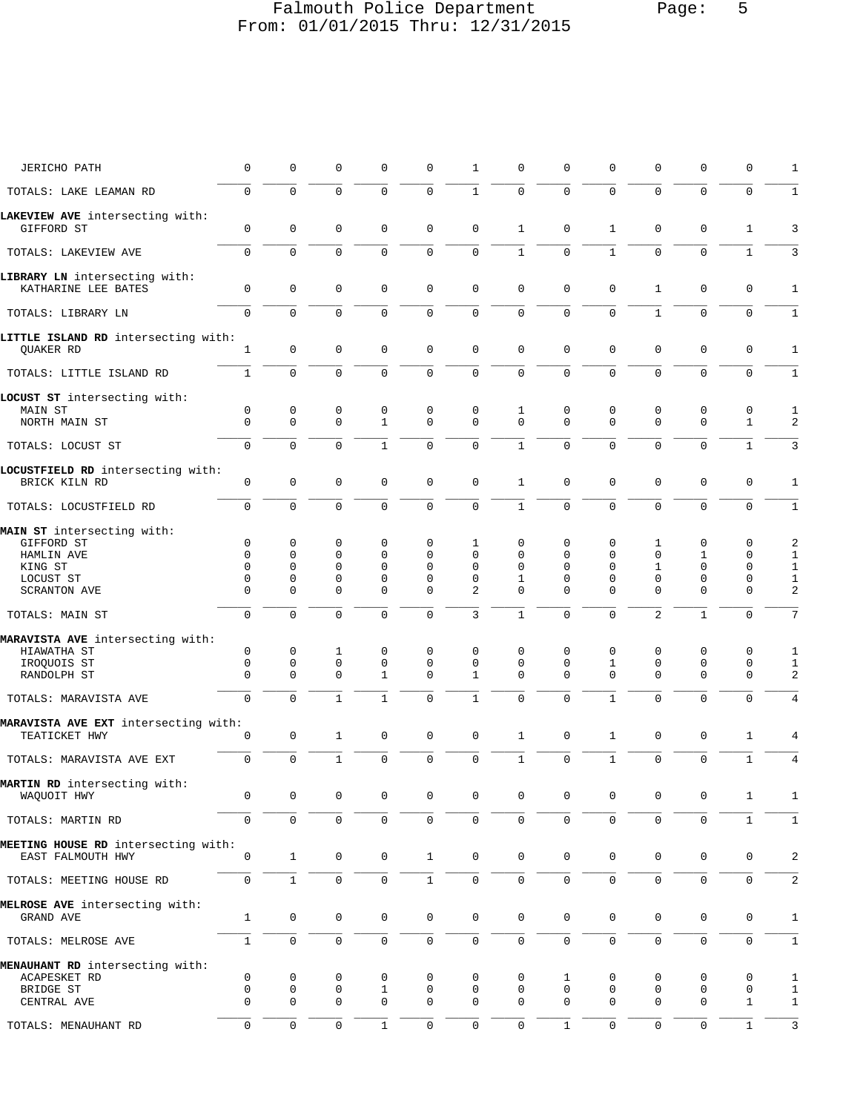### Falmouth Police Department Page: 5 From: 01/01/2015 Thru: 12/31/2015

| <b>JERICHO PATH</b>                                      | $\mathbf 0$                | 0                   | $\mathbf 0$         | 0            | 0            | 1                   | $\mathbf 0$      | $\Omega$            | 0                   | 0                   | 0                   | 0            | 1                            |
|----------------------------------------------------------|----------------------------|---------------------|---------------------|--------------|--------------|---------------------|------------------|---------------------|---------------------|---------------------|---------------------|--------------|------------------------------|
| TOTALS: LAKE LEAMAN RD                                   | $\mathbf 0$                | $\mathbf 0$         | $\mathbf 0$         | $\Omega$     | 0            | $\mathbf{1}$        | $\mathbf 0$      | $\Omega$            | $\Omega$            | $\Omega$            | $\mathbf 0$         | $\mathbf 0$  | $\mathbf{1}$                 |
| LAKEVIEW AVE intersecting with:                          |                            |                     |                     |              |              |                     |                  |                     |                     |                     |                     |              |                              |
| GIFFORD ST                                               | $\mathbf 0$                | $\mathbf{0}$        | $\mathbf 0$         | $\mathbf 0$  | 0            | $\mathbf 0$         | $\mathbf{1}$     | $\mathbf 0$         | 1                   | $\mathbf 0$         | $\mathbf 0$         | $\mathbf{1}$ | 3                            |
| TOTALS: LAKEVIEW AVE                                     | $\mathbf 0$                | $\Omega$            | $\Omega$            | $\Omega$     | $\Omega$     | $\mathbf 0$         | $\mathbf{1}$     | $\Omega$            | $\mathbf{1}$        | $\Omega$            | $\Omega$            | $\mathbf{1}$ | 3                            |
| LIBRARY LN intersecting with:<br>KATHARINE LEE BATES     | $\mathbf 0$                | $\mathbf 0$         | $\mathbf 0$         | 0            | 0            | $\mathbf 0$         | $\mathbf 0$      | $\mathbf 0$         | $\mathbf 0$         | $\mathbf{1}$        | $\mathbf 0$         | $\mathbf 0$  | 1                            |
| TOTALS: LIBRARY LN                                       | 0                          | $\mathbf 0$         | $\mathbf 0$         | $\mathbf 0$  | 0            | $\mathbf 0$         | $\mathbf 0$      | $\Omega$            | 0                   | $\mathbf{1}$        | $\mathbf 0$         | $\mathbf 0$  | $\mathbf{1}$                 |
| LITTLE ISLAND RD intersecting with:<br>QUAKER RD         | 1                          | 0                   | $\mathbf 0$         | $\mathbf 0$  | 0            | 0                   | $\mathbf{0}$     | $\mathbf 0$         | 0                   | $\Omega$            | $\mathbf 0$         | 0            | 1                            |
| TOTALS: LITTLE ISLAND RD                                 | $\mathbf{1}$               | $\mathbf{0}$        | $\mathbf 0$         | $\Omega$     | $\Omega$     | 0                   | $\mathbf 0$      | $\mathbf 0$         | $\mathbf 0$         | $\mathbf 0$         | $\mathbf 0$         | $\mathbf 0$  | 1                            |
| LOCUST ST intersecting with:<br>MAIN ST                  | $\mathbf 0$                | 0                   | 0                   | 0            | 0            | 0                   | 1                | 0                   | 0                   | 0                   | 0                   | 0            | 1                            |
| NORTH MAIN ST                                            | $\mathbf 0$                | $\mathbf{0}$        | $\mathbf 0$         | $\mathbf{1}$ | 0            | 0                   | $\overline{0}$   | $\mathbf 0$         | $\mathbf 0$         | $\mathbf 0$         | $\mathbf 0$         | $\mathbf{1}$ | $\overline{a}$               |
| TOTALS: LOCUST ST                                        | $\mathbf 0$                | $\Omega$            | $\mathbf 0$         | $\mathbf{1}$ | $\mathbf{0}$ | $\mathbf 0$         | $\mathbf{1}$     | $\Omega$            | $\mathbf 0$         | $\Omega$            | $\mathbf 0$         | $\mathbf{1}$ | 3                            |
| LOCUSTFIELD RD intersecting with:<br>BRICK KILN RD       | $\mathbf 0$                | 0                   | $\mathbf 0$         | 0            | 0            | $\mathbf 0$         | $\mathbf{1}$     | 0                   | $\mathbf 0$         | $\Omega$            | $\mathbf 0$         | 0            | 1                            |
| TOTALS: LOCUSTFIELD RD                                   | $\mathbf 0$                | $\mathbf 0$         | $\mathbf 0$         | 0            | 0            | $\mathbf 0$         | $\mathbf{1}$     | $\mathbf 0$         | $\mathbf 0$         | $\mathbf 0$         | $\mathbf 0$         | $\mathbf 0$  | $\mathbf{1}$                 |
| MAIN ST intersecting with:<br>GIFFORD ST                 | $\mathbf 0$                | 0                   | 0                   | 0            | 0            | 1                   | $\mathbf 0$      | 0                   | 0                   | 1                   | 0                   | 0            | 2                            |
| HAMLIN AVE                                               | $\Omega$                   | $\Omega$            | $\Omega$            | $\Omega$     | $\Omega$     | $\Omega$            | $\Omega$         | $\Omega$            | $\Omega$            | $\Omega$            | 1                   | 0            | $\mathbf{1}$                 |
| KING ST                                                  | $\Omega$                   | $\Omega$            | $\mathbf 0$         | 0            | $\Omega$     | $\Omega$            | $\Omega$         | $\Omega$            | $\Omega$            | $\mathbf{1}$        | $\mathbf 0$         | $\mathbf 0$  | $\mathbf{1}$                 |
| LOCUST ST                                                | $\Omega$                   | $\mathbf{0}$        | $\mathbf 0$         | 0            | 0            | 0                   | $\mathbf{1}$     | $\Omega$            | $\mathbf 0$         | $\mathbf 0$         | $\mathbf 0$         | 0            | $\mathbf{1}$                 |
| <b>SCRANTON AVE</b>                                      | 0                          | $\Omega$            | $\Omega$            | $\Omega$     | $\Omega$     | $\overline{2}$      | $\Omega$         | $\Omega$            | $\Omega$            | $\Omega$            | $\mathbf{0}$        | $\mathbf 0$  | 2                            |
| TOTALS: MAIN ST                                          | $\mathbf 0$                | $\Omega$            | $\Omega$            | $\Omega$     | $\Omega$     | 3                   | $\mathbf{1}$     | $\Omega$            | $\Omega$            | $\overline{a}$      | $\mathbf{1}$        | $\Omega$     | 7                            |
| MARAVISTA AVE intersecting with:<br>HIAWATHA ST          | $\mathbf 0$                | 0                   | 1                   | 0            | 0            | 0                   | $\mathbf 0$      | $\mathbf 0$         | $\mathbf 0$         | 0                   | 0                   | 0            | 1                            |
| IROQUOIS ST                                              | $\Omega$                   | $\mathbf{0}$        | $\mathbf 0$         | $\mathbf 0$  | 0            | 0                   | $\Omega$         | $\Omega$            | $\mathbf{1}$        | 0                   | $\mathbf 0$         | $\mathbf 0$  | $\mathbf{1}$                 |
| RANDOLPH ST                                              | 0                          | 0                   | $\mathbf 0$         | $\mathbf{1}$ | 0            | 1                   | $\mathbf 0$      | $\mathbf 0$         | $\Omega$            | 0                   | $\mathbf 0$         | $\mathbf 0$  | 2                            |
| TOTALS: MARAVISTA AVE                                    | $\mathbf 0$                | $\Omega$            | $\mathbf{1}$        | $\mathbf{1}$ | $\Omega$     | $\mathbf{1}$        | $\mathbf{0}$     | $\Omega$            | 1                   | $\Omega$            | $\Omega$            | $\Omega$     | $\overline{4}$               |
| MARAVISTA AVE EXT intersecting with:                     |                            |                     |                     |              |              |                     |                  |                     |                     |                     |                     |              |                              |
| TEATICKET HWY                                            | $\mathbf 0$                | 0                   | 1                   | 0            | 0            | $\mathbf 0$         | $\mathbf{1}$     | $\mathbf 0$         | 1                   | $\mathbf 0$         | $\mathbf 0$         | 1            | 4                            |
| TOTALS: MARAVISTA AVE EXT                                | $\mathbf 0$                | $\mathbf 0$         | $\mathbf{1}$        | 0            | $\mathbf 0$  | $\mathbf 0$         | $\mathbf{1}$     | $\mathbf 0$         | $\mathbf{1}$        | $\mathbf 0$         | $\mathbf 0$         | $\mathbf{1}$ | $\overline{4}$               |
| MARTIN RD intersecting with:<br>WAQUOIT HWY              | 0                          | 0                   | 0                   | 0            | 0            | 0                   | 0                | 0                   | 0                   | 0                   | 0                   | 1            | 1                            |
| TOTALS: MARTIN RD                                        | $\mathbf 0$                | 0                   | 0                   | 0            | 0            | $\mathbf 0$         | $\mathsf 0$      | 0                   | $\mathbf 0$         | 0                   | $\mathbf 0$         | $\mathbf{1}$ | $\mathbf{1}$                 |
| MEETING HOUSE RD intersecting with:<br>EAST FALMOUTH HWY | $\mathsf 0$                | $\mathbf{1}$        | $\mathsf{O}\xspace$ | 0            | $\mathbf{1}$ | $\mathsf{O}\xspace$ | $\mathbf 0$      | $\mathbf 0$         | $\mathbf 0$         | 0                   | $\mathbf 0$         | 0            | 2                            |
| TOTALS: MEETING HOUSE RD                                 | $\mathbf 0$                | $\mathbf{1}$        | $\mathsf 0$         | 0            | $\mathbf{1}$ | $\mathsf 0$         | $\mathbf 0$      | $\mathbf 0$         | $\mathsf 0$         | $\mathsf{O}\xspace$ | $\mathsf{O}\xspace$ | $\mathsf 0$  | 2                            |
|                                                          |                            |                     |                     |              |              |                     |                  |                     |                     |                     |                     |              |                              |
| MELROSE AVE intersecting with:<br>GRAND AVE              | $\mathbf{1}$               | 0                   | $\mathbf 0$         | 0            | 0            | $\mathsf 0$         | $\mathsf 0$      | $\mathbf 0$         | 0                   | 0                   | $\mathbf 0$         | 0            | 1                            |
| TOTALS: MELROSE AVE                                      | $\mathbf{1}$               | $\mathsf{O}\xspace$ | $\mathsf 0$         | 0            | 0            | $\mathsf{O}\xspace$ | $\mathbb O$      | $\mathsf{O}\xspace$ | $\mathsf{O}\xspace$ | $\mathbf 0$         | $\mathsf{O}\xspace$ | 0            | $\mathbf{1}$                 |
| MENAUHANT RD intersecting with:                          |                            |                     |                     |              |              |                     |                  |                     |                     |                     |                     |              |                              |
| ACAPESKET RD                                             | 0                          | 0                   | 0                   | 0            | 0            | 0                   | 0                | 1                   | 0                   | 0                   | 0                   | 0            | 1                            |
| BRIDGE ST<br>CENTRAL AVE                                 | $\mathbf 0$<br>$\mathbf 0$ | 0<br>0              | 0<br>$\mathbf 0$    | 1<br>0       | 0<br>0       | 0<br>0              | 0<br>$\mathbf 0$ | 0<br>$\mathbf 0$    | 0<br>0              | 0<br>0              | 0<br>$\mathbf 0$    | 0<br>1       | $\mathbf{1}$<br>$\mathbf{1}$ |
|                                                          |                            |                     |                     |              |              |                     |                  |                     |                     |                     |                     |              |                              |
| TOTALS: MENAUHANT RD                                     | $\mathbf 0$                | $\mathsf 0$         | $\mathsf 0$         | $\mathbf{1}$ | $\mathsf 0$  | $\mathsf 0$         | $\mathbf 0$      | $\mathbf{1}$        | 0                   | $\mathsf{O}\xspace$ | $\mathsf 0$         | $\mathbf{1}$ | $\mathbf{3}$                 |
|                                                          |                            |                     |                     |              |              |                     |                  |                     |                     |                     |                     |              |                              |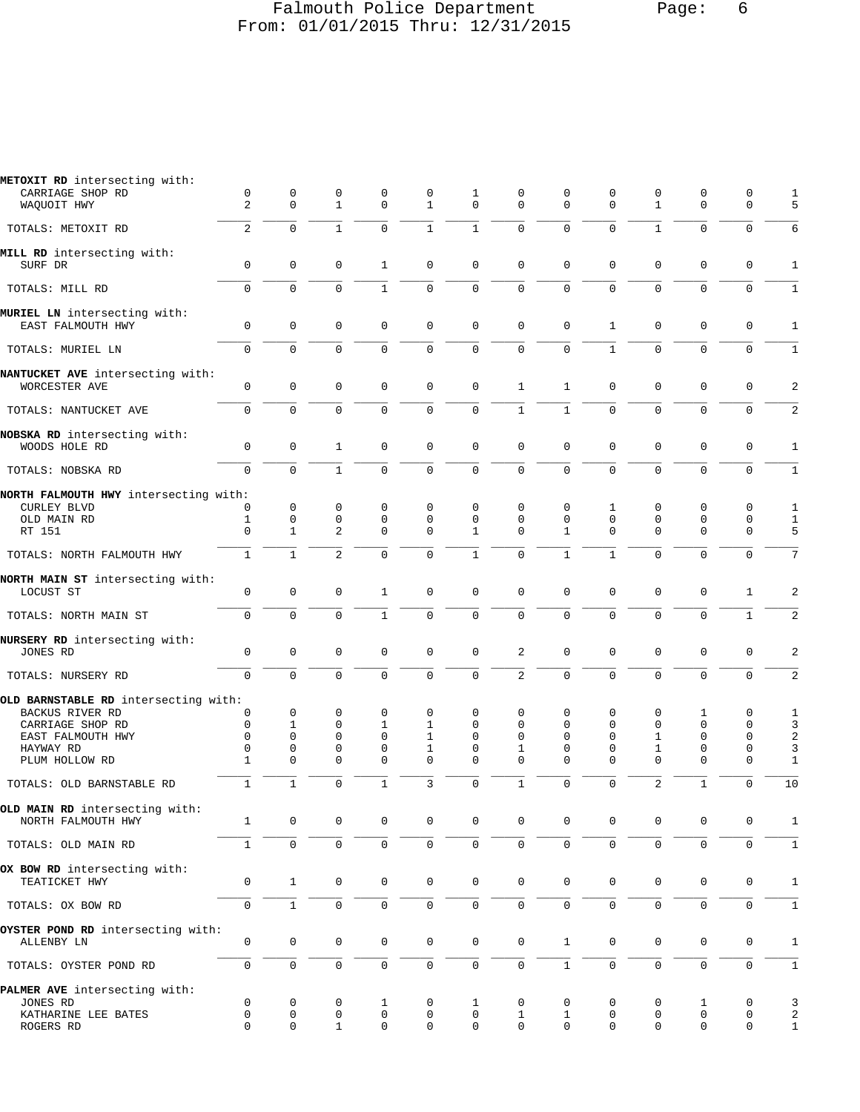#### Falmouth Police Department Page: 6 From: 01/01/2015 Thru: 12/31/2015

| METOXIT RD intersecting with:         |                |                     |                |              |                     |                     |                     |                     |              |                |                     |              |                         |
|---------------------------------------|----------------|---------------------|----------------|--------------|---------------------|---------------------|---------------------|---------------------|--------------|----------------|---------------------|--------------|-------------------------|
| CARRIAGE SHOP RD                      | 0              | 0                   | 0              | 0            | 0                   | 1                   | 0                   | 0                   | 0            | 0              | 0                   | 0            | 1                       |
| WAQUOIT HWY                           | 2              | $\mathbf 0$         | $\mathbf{1}$   | $\Omega$     | $\mathbf{1}$        | $\mathbf 0$         | $\mathbf 0$         | $\Omega$            | $\Omega$     | $\mathbf{1}$   | $\mathbf 0$         | $\mathbf 0$  | 5                       |
|                                       |                |                     |                |              |                     |                     |                     |                     |              |                |                     |              |                         |
| TOTALS: METOXIT RD                    | 2              | $\mathbf 0$         | $\mathbf{1}$   | $\mathbf 0$  | $\mathbf{1}$        | $\mathbf 1$         | $\mathbf 0$         | $\mathbf 0$         | $\mathbf 0$  | $\mathbf{1}$   | $\mathbf 0$         | $\mathbf 0$  | 6                       |
|                                       |                |                     |                |              |                     |                     |                     |                     |              |                |                     |              |                         |
| MILL RD intersecting with:            |                |                     |                |              |                     |                     |                     |                     |              |                |                     |              |                         |
| SURF DR                               | $\mathbf 0$    | $\mathbf 0$         | $\mathbf 0$    | $\mathbf{1}$ | $\mathbf{0}$        | $\mathbf 0$         | $\mathbf 0$         | $\mathbf{0}$        | $\mathbf 0$  | $\mathbf 0$    | $\mathbf{0}$        | $\mathbf 0$  | 1                       |
|                                       |                |                     |                |              |                     |                     |                     |                     |              |                |                     |              |                         |
| TOTALS: MILL RD                       | $\mathbf 0$    | $\mathbf 0$         | $\mathbf{0}$   | $\mathbf{1}$ | $\mathbf 0$         | $\mathsf 0$         | $\mathbf 0$         | $\mathbf 0$         | $\mathbf 0$  | $\mathbf 0$    | $\mathbf 0$         | $\mathbf 0$  | $\mathbf{1}$            |
|                                       |                |                     |                |              |                     |                     |                     |                     |              |                |                     |              |                         |
| MURIEL LN intersecting with:          |                |                     |                |              |                     |                     |                     |                     |              |                |                     |              |                         |
| EAST FALMOUTH HWY                     | 0              | $\mathsf 0$         | 0              | $\mathbf 0$  | 0                   | 0                   | $\mathbf 0$         | $\mathbf 0$         | 1            | 0              | $\mathsf 0$         | $\mathsf 0$  | 1                       |
|                                       |                |                     |                |              |                     |                     |                     |                     |              |                |                     |              |                         |
| TOTALS: MURIEL LN                     | $\Omega$       | $\Omega$            | $\Omega$       | $\Omega$     | $\Omega$            | $\mathbf 0$         | $\overline{0}$      | $\Omega$            | $\mathbf{1}$ | $\Omega$       | $\Omega$            | $\Omega$     | $\mathbf{1}$            |
|                                       |                |                     |                |              |                     |                     |                     |                     |              |                |                     |              |                         |
| NANTUCKET AVE intersecting with:      |                |                     |                |              |                     |                     |                     |                     |              |                |                     |              |                         |
| WORCESTER AVE                         | $\mathsf 0$    | $\mathbf 0$         | $\mathbf 0$    | 0            | 0                   | 0                   | $\mathbf{1}$        | $\mathbf{1}$        | 0            | 0              | $\mathsf 0$         | $\mathsf 0$  | 2                       |
|                                       |                |                     |                |              |                     |                     |                     |                     |              |                |                     |              |                         |
| TOTALS: NANTUCKET AVE                 | $\mathbf 0$    | $\mathbf 0$         | $\mathbf 0$    | $\mathbf 0$  | $\mathbf 0$         | $\mathbf 0$         | $1\,$               | $\mathbf{1}$        | $\mathbf 0$  | $\mathbf{0}$   | $\mathbf 0$         | $\mathbf 0$  | 2                       |
|                                       |                |                     |                |              |                     |                     |                     |                     |              |                |                     |              |                         |
| NOBSKA RD intersecting with:          |                |                     |                |              |                     |                     |                     |                     |              |                |                     |              |                         |
| WOODS HOLE RD                         | $\mathbf 0$    | $\mathbf 0$         | $\mathbf{1}$   | $\mathbf 0$  | $\mathbf{0}$        | $\mathbf 0$         | $\mathbf 0$         | $\mathbf 0$         | $\mathbf 0$  | $\mathbf 0$    | $\mathbf{0}$        | $\mathbf 0$  | $\mathbf{1}$            |
|                                       |                |                     |                |              |                     |                     |                     |                     |              |                |                     |              |                         |
| TOTALS: NOBSKA RD                     | $\Omega$       | $\mathbf 0$         | $\mathbf{1}$   | $\Omega$     | $\mathbf 0$         | $\mathbf 0$         | $\overline{0}$      | $\mathbf 0$         | $\mathbf 0$  | $\mathbf 0$    | $\mathbf{0}$        | $\Omega$     | $\mathbf{1}$            |
|                                       |                |                     |                |              |                     |                     |                     |                     |              |                |                     |              |                         |
| NORTH FALMOUTH HWY intersecting with: |                |                     |                |              |                     |                     |                     |                     |              |                |                     |              |                         |
| <b>CURLEY BLVD</b>                    | 0              | $\mathbf 0$         | 0              | 0            | $\mathbf 0$         | 0                   | 0                   | 0                   | 1            | 0              | 0                   | 0            | 1                       |
| OLD MAIN RD                           | 1              | $\mathbf 0$         | 0              | 0            | $\mathbf 0$         | 0                   | $\mathbf 0$         | $\Omega$            | $\mathbf 0$  | 0              | $\mathbf 0$         | 0            | $\mathbf{1}$            |
|                                       | $\Omega$       | $\mathbf{1}$        | 2              | $\Omega$     | $\Omega$            | $\mathbf 1$         | $\Omega$            | $\mathbf{1}$        | $\Omega$     | $\Omega$       | $\Omega$            | $\mathbf 0$  | 5                       |
| RT 151                                |                |                     |                |              |                     |                     |                     |                     |              |                |                     |              |                         |
|                                       | $\mathbf{1}$   | $\mathbf{1}$        | $\overline{a}$ | $\Omega$     | $\mathbf 0$         | $\mathbf{1}$        | $\overline{0}$      | $\mathbf{1}$        | $\mathbf{1}$ | $\mathbf 0$    | $\Omega$            | $\Omega$     | 7                       |
| TOTALS: NORTH FALMOUTH HWY            |                |                     |                |              |                     |                     |                     |                     |              |                |                     |              |                         |
|                                       |                |                     |                |              |                     |                     |                     |                     |              |                |                     |              |                         |
| NORTH MAIN ST intersecting with:      |                |                     |                |              |                     |                     |                     |                     |              |                |                     |              |                         |
| LOCUST ST                             | 0              | $\mathbf 0$         | $\mathbf{0}$   | $\mathbf{1}$ | $\mathbf 0$         | $\mathbf 0$         | $\mathbf 0$         | $\mathbf 0$         | $\mathbf 0$  | $\mathbf 0$    | $\mathbf 0$         | 1            | 2                       |
|                                       |                |                     |                |              |                     |                     |                     |                     |              |                |                     |              |                         |
| TOTALS: NORTH MAIN ST                 | $\mathbf 0$    | $\mathbf 0$         | $\mathbf 0$    | $\mathbf{1}$ | $\mathbf 0$         | $\mathbf 0$         | $\overline{0}$      | $\mathbf 0$         | $\mathbf 0$  | $\mathbf 0$    | $\mathbf{0}$        | $\mathbf{1}$ | $\overline{2}$          |
|                                       |                |                     |                |              |                     |                     |                     |                     |              |                |                     |              |                         |
| NURSERY RD intersecting with:         |                |                     |                |              |                     |                     |                     |                     |              |                |                     |              |                         |
| JONES RD                              | 0              | $\mathsf 0$         | 0              | 0            | 0                   | $\mathbf 0$         | 2                   | 0                   | 0            | 0              | $\mathbf 0$         | 0            | 2                       |
|                                       |                |                     |                |              |                     |                     |                     |                     |              |                |                     |              |                         |
| TOTALS: NURSERY RD                    | $\overline{0}$ | $\mathbf 0$         | $\mathbf{0}$   | $\Omega$     | $\mathbf 0$         | $\mathbf 0$         | $\overline{2}$      | $\mathbf 0$         | $\mathbf 0$  | $\mathbf 0$    | $\mathbf 0$         | $\mathbf 0$  | $\overline{\mathbf{c}}$ |
|                                       |                |                     |                |              |                     |                     |                     |                     |              |                |                     |              |                         |
| OLD BARNSTABLE RD intersecting with:  |                |                     |                |              |                     |                     |                     |                     |              |                |                     |              |                         |
| BACKUS RIVER RD                       | 0              | 0                   | 0              | $\mathbf 0$  | 0                   | 0                   | 0                   | 0                   | 0            | 0              | 1                   | 0            | 1                       |
| CARRIAGE SHOP RD                      | $\mathbf 0$    | $\mathbf{1}$        | $\mathbf 0$    | $\mathbf{1}$ | $\mathbf{1}$        | 0                   | 0                   | $\mathbf 0$         | $\mathbf 0$  | 0              | $\mathbf 0$         | 0            | 3                       |
| EAST FALMOUTH HWY                     | 0              | $\mathbf 0$         | 0              | $\mathbf 0$  | $\mathbf{1}$        | 0                   | 0                   | $\mathbf 0$         | 0            | 1              | $\mathbf 0$         | 0            | 2                       |
| HAYWAY RD                             | 0              | $\mathbf 0$         | $\mathbf 0$    | 0            | 1                   | 0                   | 1                   | $\mathbf 0$         | 0            | 1              | $\mathsf 0$         | $\mathsf 0$  | 3                       |
| PLUM HOLLOW RD                        | $\mathbf{1}$   | $\mathbf 0$         | $\Omega$       | $\Omega$     | $\Omega$            | $\mathbf 0$         | $\Omega$            | $\Omega$            | $\mathbf 0$  | 0              | $\mathbf{0}$        | $\mathbf 0$  | $\mathbf{1}$            |
|                                       |                |                     |                |              |                     |                     |                     |                     |              |                |                     |              |                         |
| TOTALS: OLD BARNSTABLE RD             | 1              | $\mathbf{1}$        | $\Omega$       | $\mathbf{1}$ | 3                   | $\mathbf 0$         | $\mathbf{1}$        | $\Omega$            | $\mathbf 0$  | $\overline{c}$ | $\mathbf{1}$        | $\mathbf 0$  | 10                      |
|                                       |                |                     |                |              |                     |                     |                     |                     |              |                |                     |              |                         |
| OLD MAIN RD intersecting with:        |                |                     |                |              |                     |                     |                     |                     |              |                |                     |              |                         |
| NORTH FALMOUTH HWY                    | 1              | 0                   | 0              | 0            | 0                   | 0                   | 0                   | $\mathbf 0$         | 0            | 0              | 0                   | 0            | 1                       |
|                                       |                |                     |                |              |                     |                     |                     |                     |              |                |                     |              |                         |
| TOTALS: OLD MAIN RD                   | $\mathbf{1}$   | $\mathbf 0$         | $\mathsf 0$    | $\mathbf 0$  | $\mathsf 0$         | $\mathbf 0$         | $\mathsf{O}\xspace$ | $\mathbf 0$         | $\mathbf 0$  | 0              | $\mathsf 0$         | $\mathbf 0$  | $\mathbf{1}$            |
|                                       |                |                     |                |              |                     |                     |                     |                     |              |                |                     |              |                         |
| OX BOW RD intersecting with:          |                |                     |                |              |                     |                     |                     |                     |              |                |                     |              |                         |
| TEATICKET HWY                         | 0              | $\mathbf{1}$        | $\mathsf 0$    | $\mathsf 0$  | $\mathsf{0}$        | $\mathsf 0$         | $\mathsf 0$         | $\mathbf 0$         | 0            | 0              | $\mathsf 0$         | $\mathbf 0$  | 1                       |
|                                       |                |                     |                |              |                     |                     |                     |                     |              |                |                     |              |                         |
| TOTALS: OX BOW RD                     | $\mathsf 0$    | $\mathbf{1}$        | $\mathsf 0$    | 0            | $\mathsf{O}\xspace$ | $\mathsf{O}\xspace$ | $\mathsf 0$         | $\mathsf{O}\xspace$ | 0            | 0              | $\mathsf 0$         | $\mathbf 0$  | $\mathbf{1}$            |
|                                       |                |                     |                |              |                     |                     |                     |                     |              |                |                     |              |                         |
| OYSTER POND RD intersecting with:     |                |                     |                |              |                     |                     |                     |                     |              |                |                     |              |                         |
| ALLENBY LN                            | 0              | $\mathbf 0$         | $\mathsf 0$    | 0            | 0                   | $\mathsf{O}\xspace$ | $\mathbb O$         | $\mathbf{1}$        | 0            | 0              | $\mathbf 0$         | $\mathbf 0$  | 1                       |
|                                       |                |                     |                |              |                     |                     |                     |                     |              |                |                     |              |                         |
| TOTALS: OYSTER POND RD                | 0              | $\mathsf{O}\xspace$ | $\mathsf 0$    | 0            | 0                   | 0                   | 0                   | $\mathbf{1}$        | 0            | 0              | $\mathsf{O}\xspace$ | 0            | $\mathbf{1}$            |
|                                       |                |                     |                |              |                     |                     |                     |                     |              |                |                     |              |                         |
|                                       |                |                     |                |              |                     |                     |                     |                     |              |                |                     |              |                         |
| PALMER AVE intersecting with:         |                |                     |                |              |                     |                     |                     |                     |              |                |                     |              |                         |
| JONES RD                              | $\mathsf 0$    | $\mathbf 0$         | 0              | 1            | 0                   | $\mathbf{1}$        | $\mathbf 0$         | 0                   | 0            | 0              | 1                   | 0            | 3                       |
| KATHARINE LEE BATES                   | $\mathsf 0$    | 0                   | 0              | 0            | 0                   | 0                   | 1                   | 1                   | 0            | 0              | 0                   | 0            | 2                       |
| ROGERS RD                             | $\mathbf 0$    | $\mathbf 0$         | $\mathbf 1$    | 0            | 0                   | 0                   | $\mathbf 0$         | $\mathbf 0$         | $\mathbf 0$  | 0              | $\mathbf 0$         | 0            | $\mathbf{1}$            |
|                                       |                |                     |                |              |                     |                     |                     |                     |              |                |                     |              |                         |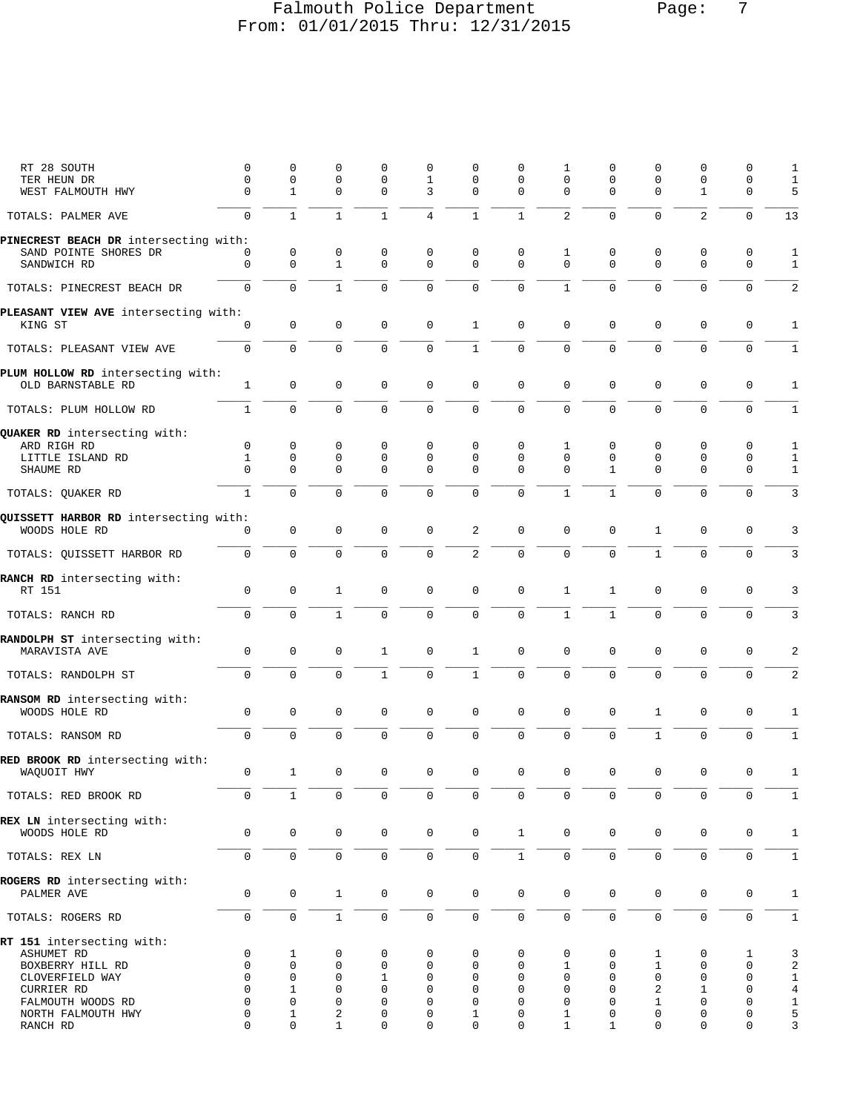# Falmouth Police Department Page: 7 From: 01/01/2015 Thru: 12/31/2015

| RT 28 SOUTH<br>TER HEUN DR                                                                                        | 0<br>0                                     | 0<br>$\mathbf 0$                                                 | 0<br>0                                                        | 0<br>$\mathbf 0$                                     | 0<br>1                                                     | 0<br>0                | 0<br>0                | 1<br>0                              | 0<br>0                       | 0<br>$\mathbf 0$                           | 0<br>0                                               | 0<br>0                                              | 1<br>1                                                     |
|-------------------------------------------------------------------------------------------------------------------|--------------------------------------------|------------------------------------------------------------------|---------------------------------------------------------------|------------------------------------------------------|------------------------------------------------------------|-----------------------|-----------------------|-------------------------------------|------------------------------|--------------------------------------------|------------------------------------------------------|-----------------------------------------------------|------------------------------------------------------------|
| WEST FALMOUTH HWY                                                                                                 | $\mathbf 0$                                | $\mathbf{1}$                                                     | $\mathbf 0$                                                   | $\Omega$                                             | 3                                                          | $\Omega$              | $\Omega$              | $\Omega$                            | 0                            | $\mathbf{0}$                               | $\mathbf{1}$                                         | 0                                                   | 5                                                          |
| TOTALS: PALMER AVE                                                                                                | $\mathbf 0$                                | $\mathbf{1}$                                                     | $\mathbf 1$                                                   | $\mathbf{1}$                                         | 4                                                          | $\mathbf{1}$          | $\mathbf{1}$          | $\overline{2}$                      | $\mathbf 0$                  | $\mathbf 0$                                | 2                                                    | $\mathbf 0$                                         | 13                                                         |
| PINECREST BEACH DR intersecting with:                                                                             |                                            |                                                                  |                                                               |                                                      |                                                            |                       |                       |                                     |                              |                                            |                                                      |                                                     |                                                            |
| SAND POINTE SHORES DR<br>SANDWICH RD                                                                              | 0<br>0                                     | 0<br>$\mathbf 0$                                                 | 0<br>$\mathbf 1$                                              | 0<br>$\mathbf 0$                                     | 0<br>$\mathbf 0$                                           | 0<br>$\Omega$         | 0<br>$\Omega$         | 1<br>$\Omega$                       | 0<br>$\mathbf 0$             | 0<br>$\Omega$                              | 0<br>$\mathbf 0$                                     | 0<br>$\mathbf 0$                                    | 1<br>1                                                     |
| TOTALS: PINECREST BEACH DR                                                                                        | $\mathbf{0}$                               | $\mathsf 0$                                                      | $\mathbf{1}$                                                  | $\mathbf 0$                                          | $\mathbf 0$                                                | $\mathsf 0$           | $\mathbf 0$           | $\mathbf{1}$                        | $\mathbf 0$                  | $\mathbf 0$                                | $\mathbf 0$                                          | $\mathbf 0$                                         | 2                                                          |
| PLEASANT VIEW AVE intersecting with:                                                                              |                                            |                                                                  |                                                               |                                                      |                                                            |                       |                       |                                     |                              |                                            |                                                      |                                                     |                                                            |
| KING ST                                                                                                           | 0                                          | $\mathbf 0$                                                      | 0                                                             | 0                                                    | $\mathbf 0$                                                | $\mathbf{1}$          | $\mathbf 0$           | 0                                   | $\mathsf 0$                  | 0                                          | 0                                                    | $\mathsf 0$                                         | 1                                                          |
| TOTALS: PLEASANT VIEW AVE                                                                                         | $\mathsf 0$                                | $\mathbf 0$                                                      | $\mathbf 0$                                                   | 0                                                    | $\mathbf 0$                                                | $\mathbf{1}$          | 0                     | 0                                   | $\mathbf 0$                  | $\mathbf{0}$                               | $\mathbf 0$                                          | $\mathbf 0$                                         | 1                                                          |
| PLUM HOLLOW RD intersecting with:<br>OLD BARNSTABLE RD                                                            | $\mathbf{1}$                               | $\mathbf 0$                                                      | $\mathbf 0$                                                   | $\mathbf 0$                                          | $\mathbf 0$                                                | $\mathbf 0$           | $\mathbf 0$           | 0                                   | 0                            | $\mathbf{0}$                               | $\mathbf 0$                                          | $\mathbf 0$                                         | $\mathbf{1}$                                               |
| TOTALS: PLUM HOLLOW RD                                                                                            | $\mathbf 1$                                | $\mathbf 0$                                                      | $\mathbf 0$                                                   | $\mathbf 0$                                          | $\mathbf 0$                                                | $\mathsf 0$           | 0                     | $\mathbf 0$                         | $\mathbf 0$                  | $\mathbf 0$                                | $\mathbf 0$                                          | $\mathsf 0$                                         | 1                                                          |
| QUAKER RD intersecting with:                                                                                      |                                            |                                                                  |                                                               |                                                      |                                                            |                       |                       |                                     |                              |                                            |                                                      |                                                     |                                                            |
| ARD RIGH RD                                                                                                       | 0                                          | 0                                                                | 0                                                             | 0                                                    | 0                                                          | 0                     | 0                     | 1                                   | 0                            | 0                                          | 0                                                    | 0                                                   | 1                                                          |
| LITTLE ISLAND RD<br>SHAUME RD                                                                                     | 1<br>$\mathbf 0$                           | 0<br>$\mathbf 0$                                                 | 0<br>$\mathbf 0$                                              | $\mathbf 0$<br>$\mathbf 0$                           | $\mathbf 0$<br>$\mathbf 0$                                 | 0<br>$\mathbf 0$      | 0<br>0                | 0<br>0                              | 0<br>$\mathbf{1}$            | $\mathbf 0$<br>$\mathbf{0}$                | 0<br>$\mathbf 0$                                     | 0<br>$\mathbf 0$                                    | 1<br>$\mathbf{1}$                                          |
| TOTALS: QUAKER RD                                                                                                 | $\mathbf 1$                                | $\mathbf 0$                                                      | $\mathbf 0$                                                   | $\mathbf 0$                                          | $\mathbf 0$                                                | $\mathbf 0$           | 0                     | $\mathbf 1$                         | $\mathbf{1}$                 | $\mathbf 0$                                | $\mathbf 0$                                          | $\mathbf 0$                                         | 3                                                          |
|                                                                                                                   |                                            |                                                                  |                                                               |                                                      |                                                            |                       |                       |                                     |                              |                                            |                                                      |                                                     |                                                            |
| QUISSETT HARBOR RD intersecting with:<br>WOODS HOLE RD                                                            | 0                                          | 0                                                                | 0                                                             | $\mathbf 0$                                          | $\mathbf 0$                                                | 2                     | $\mathbf 0$           | 0                                   | 0                            | 1                                          | 0                                                    | 0                                                   | 3                                                          |
| TOTALS: QUISSETT HARBOR RD                                                                                        | $\mathbf 0$                                | $\mathbf 0$                                                      | $\mathbf 0$                                                   | $\mathbf 0$                                          | $\mathbf 0$                                                | $\overline{2}$        | $\mathbf 0$           | $\overline{0}$                      | $\mathbf 0$                  | $\mathbf{1}$                               | $\mathbf 0$                                          | $\mathsf 0$                                         | 3                                                          |
| RANCH RD intersecting with:<br>RT 151                                                                             | 0                                          | 0                                                                | 1                                                             | 0                                                    | 0                                                          | 0                     | 0                     | 1                                   | $\mathbf 1$                  | 0                                          | 0                                                    | 0                                                   | 3                                                          |
| TOTALS: RANCH RD                                                                                                  | $\mathbf 0$                                | $\Omega$                                                         | $\mathbf{1}$                                                  | $\mathbf 0$                                          | $\mathbf 0$                                                | $\mathbf 0$           | $\mathbf 0$           | $\mathbf{1}$                        | $\mathbf{1}$                 | $\mathbf 0$                                | $\mathbf 0$                                          | $\mathbf 0$                                         | 3                                                          |
| RANDOLPH ST intersecting with:<br>MARAVISTA AVE                                                                   | 0                                          | $\mathsf 0$                                                      | 0                                                             | 1                                                    | 0                                                          | $\mathbf{1}$          | 0                     | 0                                   | 0                            | $\mathbf 0$                                | 0                                                    | $\mathbf 0$                                         | 2                                                          |
| TOTALS: RANDOLPH ST                                                                                               | $\mathbf 0$                                | $\mathbf 0$                                                      | $\mathbf 0$                                                   | $\mathbf{1}$                                         | $\mathsf{O}\xspace$                                        | $\mathbf{1}$          | $\mathbf 0$           | $\overline{0}$                      | $\mathbf 0$                  | $\mathsf 0$                                | $\mathbf 0$                                          | $\mathbf 0$                                         | 2                                                          |
| RANSOM RD intersecting with:<br>WOODS HOLE RD                                                                     | 0                                          | $\mathbf 0$                                                      | $\mathbf 0$                                                   | 0                                                    | $\mathbf 0$                                                | $\mathbf 0$           | $\mathbf 0$           | 0                                   | 0                            | $\mathbf{1}$                               | $\mathbf 0$                                          | $\mathsf{O}\xspace$                                 | 1                                                          |
| TOTALS: RANSOM RD                                                                                                 | $\mathbf 0$                                | $\mathbf 0$                                                      | $\mathbf 0$                                                   | $\mathbf 0$                                          | $\mathbf 0$                                                | $\mathsf 0$           | $\mathbf 0$           | $\overline{0}$                      | $\mathsf 0$                  | $\mathbf{1}$                               | $\mathbf 0$                                          | $\mathbf 0$                                         | $\mathbf{1}$                                               |
| RED BROOK RD intersecting with:                                                                                   | 0                                          | $\mathbf{1}$                                                     | $\mathbf 0$                                                   | 0                                                    | $\mathbf 0$                                                | 0                     | 0                     | 0                                   | $\mathsf 0$                  | 0                                          | 0                                                    | $\mathbf 0$                                         | 1                                                          |
| WAQUOIT HWY                                                                                                       |                                            |                                                                  |                                                               |                                                      |                                                            |                       |                       |                                     |                              |                                            |                                                      |                                                     |                                                            |
| TOTALS: RED BROOK RD                                                                                              | 0                                          | $\mathbf{1}$                                                     | $\mathbf 0$                                                   | $\mathbf 0$                                          | $\mathbf 0$                                                | $\mathsf 0$           | 0                     | $\mathsf{O}$                        | 0                            | $\mathbf 0$                                | $\mathbf 0$                                          | $\mathbf 0$                                         | $\mathbf{1}$                                               |
| REX LN intersecting with:<br>WOODS HOLE RD                                                                        | $\mathsf{O}$                               | $\mathsf{O}$                                                     | $\mathbf 0$                                                   | 0                                                    | $\mathsf{O}\xspace$                                        | $\mathsf 0$           | $\mathbf{1}$          | 0                                   | 0                            | $\mathbf 0$                                | $\mathbf 0$                                          | $\mathbf 0$                                         | $\mathbf{1}$                                               |
| TOTALS: REX LN                                                                                                    | 0                                          | $\mathsf{O}$                                                     | $\mathsf{O}\xspace$                                           | $\mathsf{O}\xspace$                                  | $\mathsf 0$                                                | $\mathsf 0$           | $\mathbf{1}$          | $\mathsf{O}\xspace$                 | $\mathsf{O}$                 | $\mathsf{O}\xspace$                        | $\mathbf 0$                                          | $\mathsf{O}\xspace$                                 | $\mathbf{1}$                                               |
| ROGERS RD intersecting with:<br>PALMER AVE                                                                        | $\mathbf 0$                                | 0                                                                | $\mathbf{1}$                                                  | 0                                                    | $\mathbf 0$                                                | $\mathbf 0$           | $\mathbf 0$           | 0                                   | $\mathbf 0$                  | $\mathbf 0$                                | $\mathbf 0$                                          | $\mathbf 0$                                         | $\mathbf{1}$                                               |
| TOTALS: ROGERS RD                                                                                                 | $\mathsf{O}$                               | $\mathsf 0$                                                      | $\mathbf{1}$                                                  | $\mathbf 0$                                          | $\mathsf 0$                                                | $\mathsf 0$           | $\mathsf{O}$          | $\mathbf 0$                         | 0                            | $\mathsf{O}\xspace$                        | $\mathbf 0$                                          | $\mathsf{O}\xspace$                                 | $\mathbf{1}$                                               |
| RT 151 intersecting with:<br>ASHUMET RD<br>BOXBERRY HILL RD<br>CLOVERFIELD WAY<br>CURRIER RD<br>FALMOUTH WOODS RD | 0<br>0<br>$\Omega$<br>$\Omega$<br>$\Omega$ | $\mathbf{1}$<br>$\mathbf 0$<br>$\mathbf{0}$<br>$\mathbf{1}$<br>0 | 0<br>$\mathbf 0$<br>$\mathbf 0$<br>$\mathbf 0$<br>$\mathbf 0$ | 0<br>0<br>$\mathbf{1}$<br>$\mathbf 0$<br>$\mathbf 0$ | 0<br>$\mathbf 0$<br>$\mathbf 0$<br>$\Omega$<br>$\mathbf 0$ | 0<br>0<br>0<br>0<br>0 | 0<br>0<br>0<br>0<br>0 | 0<br>1<br>$\Omega$<br>$\Omega$<br>0 | 0<br>0<br>0<br>$\Omega$<br>0 | 1<br>$\mathbf{1}$<br>$\mathbf 0$<br>2<br>1 | 0<br>0<br>$\mathbf 0$<br>$\mathbf{1}$<br>$\mathbf 0$ | 1<br>$\mathbf 0$<br>$\mathbf 0$<br>$\mathbf 0$<br>0 | 3<br>$\overline{a}$<br>$\mathbf{1}$<br>$\overline{4}$<br>1 |
| NORTH FALMOUTH HWY<br>RANCH RD                                                                                    | $\Omega$<br>0                              | $\mathbf{1}$<br>$\mathbf 0$                                      | 2<br>1                                                        | $\mathbf 0$<br>$\mathbf 0$                           | $\mathbf 0$<br>$\mathbf 0$                                 | 1<br>0                | 0<br>0                | 1<br>$\mathbf{1}$                   | 0<br>1                       | 0<br>$\mathbf 0$                           | $\mathbf 0$<br>$\mathbf 0$                           | $\mathbf 0$<br>$\mathbf 0$                          | 5<br>3                                                     |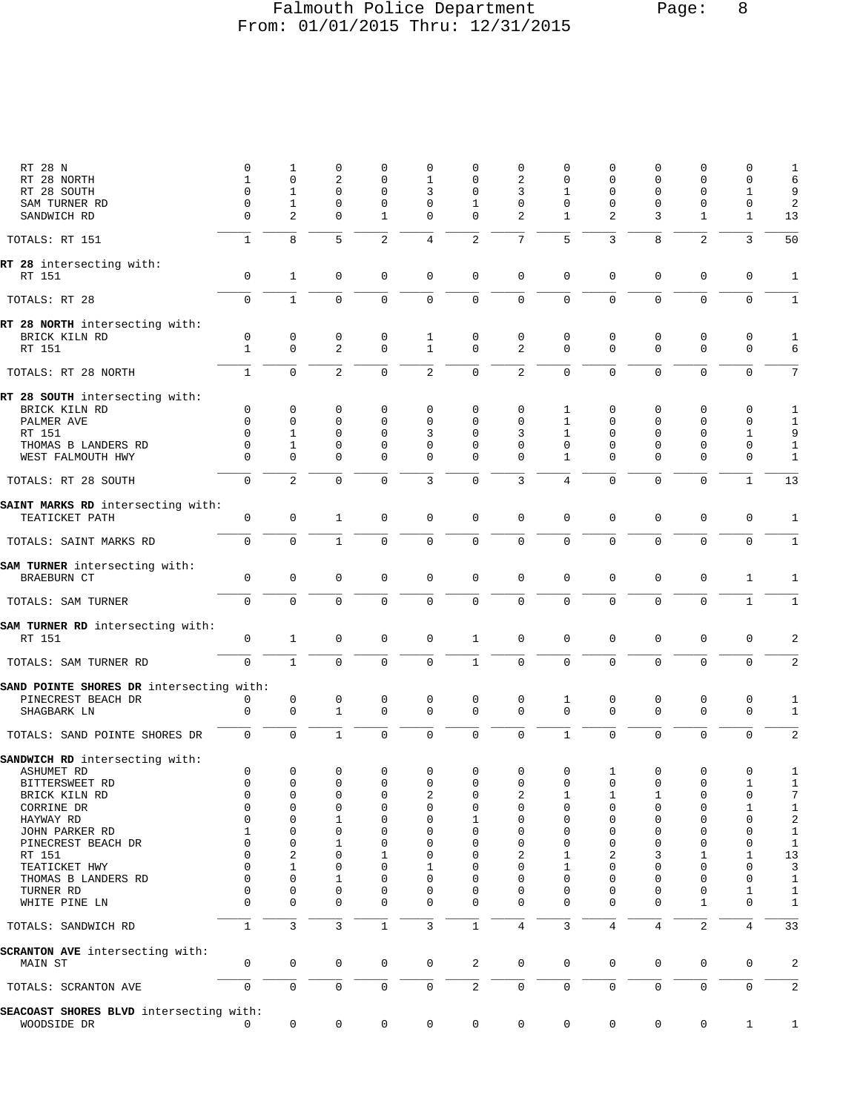### Falmouth Police Department Page: 8 From: 01/01/2015 Thru: 12/31/2015

| RT 28 N                                             | 0                   | 1                          | 0                 | 0                          | 0                 | 0                          | 0                          | 0                | 0              | 0              | 0                           | 0                          | 1                            |
|-----------------------------------------------------|---------------------|----------------------------|-------------------|----------------------------|-------------------|----------------------------|----------------------------|------------------|----------------|----------------|-----------------------------|----------------------------|------------------------------|
| RT 28 NORTH                                         | 1<br>$\mathbf 0$    | 0<br>1                     | 2<br>$\mathbf 0$  | $\mathbf 0$<br>$\mathbf 0$ | 1<br>3            | 0<br>0                     | 2<br>3                     | $\mathbf 0$<br>1 | 0<br>0         | 0<br>$\Omega$  | 0<br>0                      | 0<br>1                     | 6<br>9                       |
| RT 28 SOUTH<br>SAM TURNER RD                        | 0                   | 1                          | 0                 | 0                          | 0                 | 1                          | 0                          | 0                | 0              | 0              | 0                           | 0                          | $\overline{\mathbf{c}}$      |
| SANDWICH RD                                         | 0                   | 2                          | 0                 | 1                          | 0                 | 0                          | 2                          | 1                | 2              | 3              | 1                           | 1                          | 13                           |
| TOTALS: RT 151                                      | $\mathbf{1}$        | 8                          | 5                 | $\overline{2}$             | 4                 | $\overline{2}$             | 7                          | 5                | 3              | 8              | $\overline{2}$              | 3                          | 50                           |
| RT 28 intersecting with:<br>RT 151                  | 0                   | $\mathbf{1}$               | $\mathbf 0$       | 0                          | 0                 | $\mathbf 0$                | $\mathsf 0$                | 0                | 0              | 0              | $\mathsf 0$                 | $\mathbf 0$                | 1                            |
| TOTALS: RT 28                                       | $\mathbf 0$         | $\mathbf{1}$               | $\mathbf 0$       | 0                          | $\mathbf{0}$      | $\mathbf 0$                | $\mathsf 0$                | 0                | 0              | $\mathbf 0$    | $\mathbf 0$                 | $\mathbf 0$                | $1\,$                        |
| RT 28 NORTH intersecting with:                      |                     |                            |                   |                            |                   |                            |                            |                  |                |                |                             |                            |                              |
| BRICK KILN RD<br>RT 151                             | 0<br>1              | 0<br>$\mathbf 0$           | $\mathbf 0$<br>2  | 0<br>$\mathbf 0$           | 1<br>$\mathbf{1}$ | $\mathbf 0$<br>$\mathbf 0$ | $\mathsf 0$<br>2           | 0<br>$\Omega$    | 0<br>$\Omega$  | 0<br>$\Omega$  | $\mathsf 0$<br>$\mathbf{0}$ | $\mathbf 0$<br>$\mathbf 0$ | $\mathbf 1$<br>6             |
| TOTALS: RT 28 NORTH                                 | $\mathbf{1}$        | $\mathbf 0$                | $\overline{c}$    | $\mathbf 0$                | $\overline{a}$    | $\mathbf 0$                | $\sqrt{2}$                 | $\mathbf 0$      | 0              | $\mathbf 0$    | $\mathbf 0$                 | $\mathbf 0$                | 7                            |
| RT 28 SOUTH intersecting with:<br>BRICK KILN RD     | 0                   | 0                          | 0                 | 0                          | 0                 | 0                          | 0                          | 1                | 0              | 0              | 0                           | 0                          |                              |
| PALMER AVE                                          | 0                   | $\mathbf 0$                | 0                 | $\mathbf 0$                | 0                 | 0                          | $\mathbf 0$                | $\mathbf{1}$     | 0              | 0              | 0                           | 0                          | 1<br>$1\,$                   |
| RT 151                                              | $\Omega$            | 1                          | 0                 | $\mathbf 0$                | 3                 | 0                          | 3                          | 1                | 0              | 0              | 0                           | 1                          | 9                            |
| THOMAS B LANDERS RD                                 | $\Omega$            | 1                          | 0                 | 0                          | 0                 | 0                          | 0                          | 0                | 0              | $\Omega$       | 0                           | $\mathbf 0$                | $\mathbf{1}$                 |
| WEST FALMOUTH HWY                                   | $\Omega$            | $\Omega$                   | $\mathbf 0$       | $\mathbf 0$                | $\mathbf{0}$      | $\mathbf 0$                | $\mathbf 0$                | $\mathbf{1}$     | $\Omega$       | $\Omega$       | 0                           | $\mathbf 0$                | $\mathbf{1}$                 |
| TOTALS: RT 28 SOUTH                                 | $\mathbf 0$         | $\overline{2}$             | $\mathbf 0$       | $\mathbf 0$                | 3                 | $\mathbf 0$                | 3                          | 4                | 0              | $\mathbf 0$    | $\Omega$                    | $\mathbf{1}$               | 13                           |
| SAINT MARKS RD intersecting with:<br>TEATICKET PATH | 0                   | 0                          | $\mathbf{1}$      | 0                          | 0                 | 0                          | 0                          | $\mathbf 0$      | 0              | $\mathbf 0$    | $\mathsf 0$                 | 0                          | 1                            |
| TOTALS: SAINT MARKS RD                              | $\mathbf 0$         | $\mathbf 0$                | $\mathbf{1}$      | $\mathbf 0$                | $\mathbf 0$       | $\mathbf 0$                | $\mathsf 0$                | $\mathbf 0$      | 0              | $\mathbf 0$    | $\mathbf 0$                 | $\mathbf 0$                | $1\,$                        |
| SAM TURNER intersecting with:<br><b>BRAEBURN CT</b> | 0                   | 0                          | 0                 | $\mathbf 0$                | 0                 | $\mathbf 0$                | $\mathsf 0$                | 0                | 0              | 0              | $\mathsf 0$                 | 1                          | 1                            |
| TOTALS: SAM TURNER                                  | $\mathbf 0$         | $\mathbf 0$                | $\mathbf 0$       | $\mathbf 0$                | 0                 | $\mathbf 0$                | $\mathbf 0$                | $\mathbf 0$      | 0              | $\mathbf 0$    | $\mathbf 0$                 | $\mathbf{1}$               | $\mathbf{1}$                 |
| SAM TURNER RD intersecting with:                    |                     |                            |                   |                            |                   |                            |                            |                  |                |                |                             |                            |                              |
| RT 151                                              | $\mathsf{O}\xspace$ | $\mathbf{1}$               | $\mathbf 0$       | $\mathsf 0$                | 0                 | $\mathbf{1}$               | $\mathsf 0$                | $\mathbf 0$      | 0              | $\mathbf 0$    | $\mathsf 0$                 | $\mathbf 0$                | 2                            |
| TOTALS: SAM TURNER RD                               | $\mathbf 0$         | $1\,$                      | $\mathsf 0$       | $\mathbf 0$                | $\mathbf{0}$      | $\mathbf{1}$               | $\mathsf 0$                | 0                | 0              | 0              | $\mathbf 0$                 | $\mathbf 0$                | $\overline{\mathbf{c}}$      |
| SAND POINTE SHORES DR intersecting with:            |                     |                            |                   |                            |                   |                            |                            |                  |                |                |                             |                            |                              |
| PINECREST BEACH DR<br>SHAGBARK LN                   | 0<br>$\mathbf 0$    | $\mathsf 0$<br>$\mathbf 0$ | 0<br>$\mathbf{1}$ | 0<br>$\mathbf 0$           | 0<br>0            | $\mathbf 0$<br>$\mathbf 0$ | $\mathsf 0$<br>$\mathsf 0$ | 1<br>$\mathbf 0$ | 0<br>0         | 0<br>0         | 0<br>$\mathbf{0}$           | $\mathbf 0$<br>$\mathbf 0$ | $\mathbf{1}$<br>$\mathbf{1}$ |
| TOTALS: SAND POINTE SHORES DR                       | $\mathbf 0$         | $\mathbf 0$                | $\mathbf{1}$      | $\mathbf 0$                | $\mathbf 0$       | $\mathbf 0$                | $\mathbf 0$                | $\mathbf{1}$     | 0              | $\mathbf 0$    | $\mathbf 0$                 | $\mathbf 0$                | $\overline{\mathbf{c}}$      |
|                                                     |                     |                            |                   |                            |                   |                            |                            |                  |                |                |                             |                            |                              |
| SANDWICH RD intersecting with:<br>ASHUMET RD        | 0                   | $\mathbf 0$                | $\mathsf 0$       | 0                          | 0                 | 0                          | $\mathsf 0$                | 0                | 1              | $\mathsf 0$    | 0                           | 0                          | 1                            |
| BITTERSWEET RD                                      | 0                   | $\mathbf 0$                | 0                 | $\mathsf{O}\xspace$        | 0                 | $\mathbf 0$                | 0                          | $\overline{0}$   | $\overline{0}$ | $\mathsf{O}$   | 0                           | $\mathbf{1}$               | 1                            |
| BRICK KILN RD                                       | 0                   | 0                          | 0                 | 0                          | 2                 | 0                          | 2                          | $\mathbf{1}$     | 1              | 1              | 0                           | $\mathbf 0$                | 7                            |
| CORRINE DR                                          | 0                   | 0                          | 0                 | 0                          | 0                 | 0                          | 0                          | 0                | 0              | 0              | 0                           | 1                          | 1                            |
| HAYWAY RD                                           | 0                   | 0                          | 1                 | $\mathbf 0$                | 0                 | 1                          | 0                          | 0                | 0              | 0              | 0                           | 0                          | $\sqrt{2}$                   |
| JOHN PARKER RD                                      | 1                   | 0                          | 0                 | 0                          | 0                 | 0                          | 0                          | 0                | 0              | 0              | 0                           | 0                          | $\mathbf 1$                  |
| PINECREST BEACH DR                                  | 0<br>$\Omega$       | 0                          | 1                 | 0                          | 0                 | 0<br>U                     | 0                          | 0                | 0              | 0              | 0                           | $\Omega$                   | $\mathbf 1$                  |
| RT 151<br>TEATICKET HWY                             | 0                   | 2<br>1                     | 0<br>0            | 1<br>$\mathbf 0$           | 0<br>1            | 0                          | 2<br>0                     | 1<br>1           | 2<br>0         | 3<br>0         | 1<br>0                      | 1<br>0                     | $13$<br>3                    |
| THOMAS B LANDERS RD                                 | 0                   | 0                          | 1                 | 0                          | 0                 | 0                          | 0                          | 0                | U              | U              | 0                           | $\Omega$                   | 1                            |
| TURNER RD                                           | 0                   | 0                          | 0                 | $\mathbf 0$                | 0                 | 0                          | 0                          | 0                | 0              | $\Omega$       | 0                           | 1                          | 1                            |
| WHITE PINE LN                                       | $\Omega$            | $\Omega$                   | 0                 | $\mathbf 0$                | $\mathbf{0}$      | $\mathbf 0$                | 0                          | $\Omega$         | $\Omega$       | $\Omega$       | 1                           | $\mathbf 0$                | $\mathbf{1}$                 |
| TOTALS: SANDWICH RD                                 | $\mathbf{1}$        | 3                          | 3                 | $\mathbf{1}$               | 3                 | $\,1\,$                    | $\overline{4}$             | 3                | 4              | $\overline{4}$ | $\overline{c}$              | 4                          | 33                           |
| SCRANTON AVE intersecting with:<br>MAIN ST          | 0                   | 0                          | 0                 | 0                          | 0                 | 2                          | $\mathsf 0$                | 0                | 0              | $\mathbf 0$    | 0                           | 0                          | 2                            |
| TOTALS: SCRANTON AVE                                | 0                   | $\mathsf{O}\xspace$        | $\mathbf 0$       | $\mathbf 0$                | $\mathbf 0$       | $\overline{\mathbf{c}}$    | 0                          | $\mathsf{O}$     | 0              | 0              | $\mathsf 0$                 | 0                          | 2                            |
| SEACOAST SHORES BLVD intersecting with:             |                     |                            |                   |                            |                   |                            |                            |                  |                |                |                             |                            |                              |
| WOODSIDE DR                                         | 0                   | 0                          | 0                 | 0                          | 0                 | $\mathbf 0$                | $\mathbf 0$                | $\mathbf 0$      | 0              | 0              | $\mathsf{0}$                | $\mathbf{1}$               | 1                            |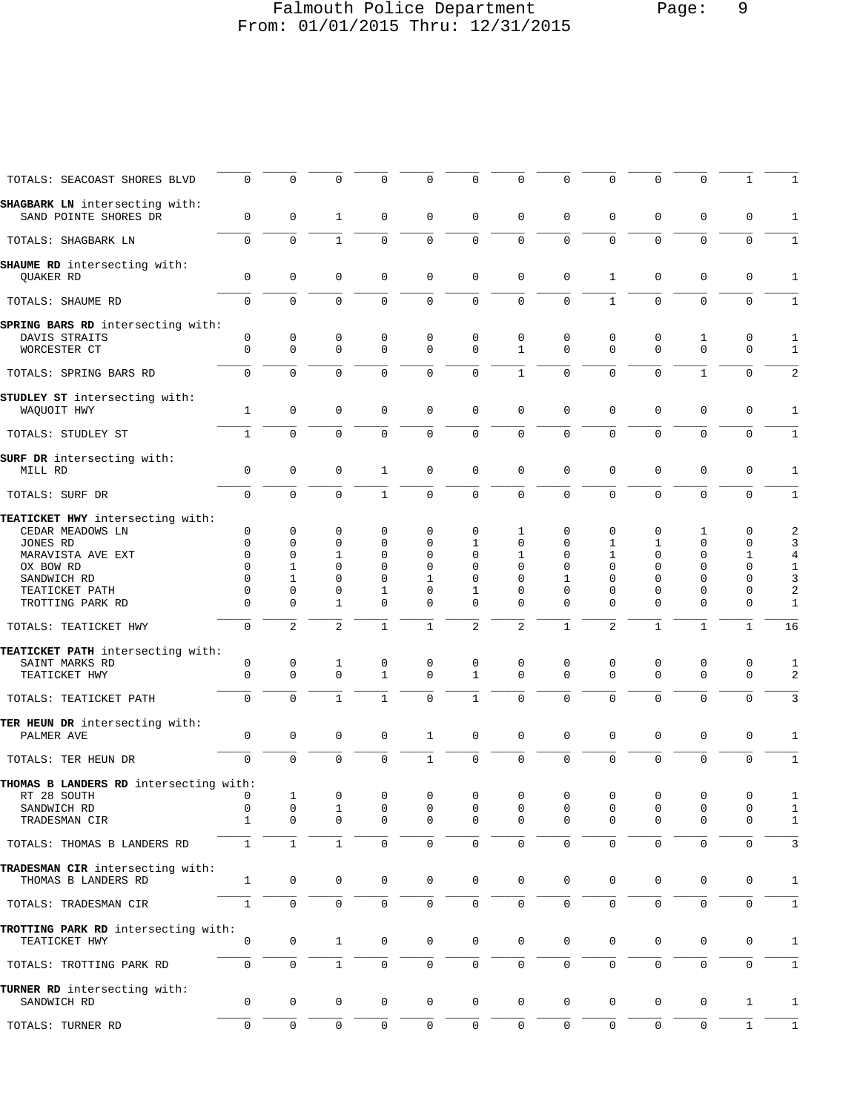### Falmouth Police Department Page: 9 From: 01/01/2015 Thru: 12/31/2015

| TOTALS: SEACOAST SHORES BLVD                            | $\mathbf 0$              | 0              | 0              | $\Omega$     | $\Omega$     | 0                   | $\mathbf 0$      | $\Omega$     | $\mathbf 0$      | $\mathbf 0$  | $\mathbf{0}$        | 1                | 1                            |
|---------------------------------------------------------|--------------------------|----------------|----------------|--------------|--------------|---------------------|------------------|--------------|------------------|--------------|---------------------|------------------|------------------------------|
| SHAGBARK LN intersecting with:<br>SAND POINTE SHORES DR | $\mathbf 0$              | $\Omega$       | $\mathbf{1}$   | $\Omega$     | 0            | 0                   | $\mathbf{0}$     | $\Omega$     | $\Omega$         | $\Omega$     | $\Omega$            | 0                | 1                            |
| TOTALS: SHAGBARK LN                                     | $\mathbf 0$              | 0              | $\mathbf{1}$   | $\Omega$     | $\mathbf{0}$ | $\mathbf 0$         | $\mathbf{0}$     | $\Omega$     | $\mathbf 0$      | $\mathbf 0$  | $\mathbf{0}$        | $\mathbf 0$      | 1                            |
| SHAUME RD intersecting with:<br><b>OUAKER RD</b>        | $\mathbf 0$              | 0              | $\mathbf 0$    | $\mathbf 0$  | 0            | 0                   | $\mathbf{0}$     | $\mathbf 0$  | $\mathbf{1}$     | $\mathbf 0$  | $\mathbf{0}$        | $\mathbf 0$      | 1                            |
| TOTALS: SHAUME RD                                       | $\Omega$                 | $\Omega$       | $\Omega$       | $\Omega$     | 0            | 0                   | $\Omega$         | $\Omega$     | $\mathbf{1}$     | $\Omega$     | $\Omega$            | $\Omega$         | 1                            |
|                                                         |                          |                |                |              |              |                     |                  |              |                  |              |                     |                  |                              |
| SPRING BARS RD intersecting with:<br>DAVIS STRAITS      | 0                        | $\mathbf 0$    | 0              | 0            | 0            | 0                   | $\mathbf 0$      | 0            | 0                | $\mathbf 0$  | 1                   | $\mathbf 0$      | 1                            |
| WORCESTER CT                                            | $\Omega$                 | $\Omega$       | $\Omega$       | $\Omega$     | $\Omega$     | $\Omega$            | $\mathbf{1}$     | $\Omega$     | $\Omega$         | $\Omega$     | $\Omega$            | $\Omega$         | $\mathbf 1$                  |
| TOTALS: SPRING BARS RD                                  | 0                        | $\mathbf 0$    | $\mathbf 0$    | $\Omega$     | 0            | $\mathbf 0$         | $\mathbf{1}$     | $\mathbf{0}$ | $\mathbf 0$      | $\mathbf 0$  | $\mathbf{1}$        | $\mathbf 0$      | 2                            |
| STUDLEY ST intersecting with:<br>WAQUOIT HWY            | 1                        | $\mathbf 0$    | $\mathbf 0$    | 0            | 0            | $\mathbf 0$         | $\mathbf{0}$     | $\mathbf 0$  | 0                | $\mathbf 0$  | $\mathbf 0$         | $\mathbf 0$      | 1                            |
| TOTALS: STUDLEY ST                                      | 1                        | $\Omega$       | $\mathbf 0$    | $\Omega$     | $\Omega$     | 0                   | $\mathbf{0}$     | $\Omega$     | $\Omega$         | $\Omega$     | $\Omega$            | $\Omega$         | 1                            |
| SURF DR intersecting with:<br>MILL RD                   | $\mathbf 0$              | 0              | $\mathbf 0$    | $\mathbf{1}$ | 0            | 0                   | $\mathbf{0}$     | $\mathbf 0$  | $\mathbf 0$      | $\mathbf 0$  | $\mathbf{0}$        | $\mathbf 0$      | 1                            |
| TOTALS: SURF DR                                         | $\mathbf 0$              | $\mathbf 0$    | $\mathbf 0$    | $\mathbf{1}$ | 0            | $\mathbf 0$         | $\mathbf 0$      | $\Omega$     | $\mathbf 0$      | $\mathbf 0$  | $\mathbf 0$         | $\mathbf 0$      | $\mathbf{1}$                 |
| TEATICKET HWY intersecting with:                        |                          |                |                |              |              |                     |                  |              |                  |              |                     |                  |                              |
| CEDAR MEADOWS LN                                        | 0                        | 0              | 0              | 0            | 0            | 0                   | 1                | 0            | 0                | 0            | 1                   | 0                | 2                            |
| JONES RD                                                | $\Omega$                 | $\Omega$       | 0              | 0            | $\Omega$     | 1                   | $\Omega$         | $\Omega$     | 1                | 1            | $\Omega$            | 0                | 3                            |
| MARAVISTA AVE EXT                                       | $\Omega$                 | $\Omega$       | $\mathbf{1}$   | 0            | $\Omega$     | $\Omega$            | $\mathbf{1}$     | $\Omega$     | $\mathbf{1}$     | $\mathbf 0$  | $\mathbf{0}$        | 1                | $\overline{4}$               |
| OX BOW RD                                               | 0                        | $\mathbf{1}$   | $\Omega$       | $\mathbf 0$  | 0            | $\Omega$            | $\mathbf 0$      | 0            | $\Omega$         | 0            | $\mathbf 0$         | $\mathbf 0$      | $\mathbf{1}$                 |
| SANDWICH RD                                             | 0                        | $\mathbf{1}$   | $\Omega$       | $\Omega$     | $\mathbf{1}$ | $\Omega$            | $\Omega$         | $\mathbf{1}$ | $\Omega$         | $\Omega$     | $\Omega$            | $\Omega$         | 3                            |
| TEATICKET PATH                                          | $\Omega$                 | $\Omega$       | $\Omega$       | $\mathbf{1}$ | 0            | 1                   | $\Omega$         | $\Omega$     | 0                | $\Omega$     | $\Omega$            | 0                | 2                            |
| TROTTING PARK RD                                        | $\Omega$                 | $\Omega$       | $\mathbf{1}$   | $\Omega$     | $\Omega$     | $\Omega$            | $\Omega$         | $\Omega$     | $\Omega$         | $\Omega$     | $\Omega$            | $\Omega$         | 1                            |
| TOTALS: TEATICKET HWY                                   | $\mathbf 0$              | $\overline{2}$ | $\overline{2}$ | $\mathbf{1}$ | $\mathbf{1}$ | $\overline{a}$      | $\overline{a}$   | $\mathbf{1}$ | 2                | $\mathbf{1}$ | $\mathbf{1}$        | $\mathbf{1}$     | 16                           |
| TEATICKET PATH intersecting with:                       |                          |                |                |              |              |                     |                  |              |                  |              |                     |                  |                              |
| SAINT MARKS RD                                          | 0                        | 0              | 1              | 0            | 0            | 0                   | 0                | 0            | 0                | 0            | 0                   | 0                | 1                            |
| TEATICKET HWY                                           | $\mathbf 0$              | $\Omega$       | $\mathbf 0$    | $\mathbf{1}$ | $\Omega$     | $\mathbf{1}$        | $\Omega$         | $\Omega$     | $\Omega$         | $\Omega$     | $\Omega$            | $\mathbf 0$      | 2                            |
|                                                         | $\Omega$                 | $\Omega$       | $\mathbf{1}$   | $\mathbf{1}$ | $\Omega$     | $\mathbf{1}$        | $\mathbf{0}$     | $\Omega$     | $\Omega$         | $\Omega$     | $\Omega$            | $\Omega$         | 3                            |
| TOTALS: TEATICKET PATH                                  |                          |                |                |              |              |                     |                  |              |                  |              |                     |                  |                              |
| TER HEUN DR intersecting with:<br>PALMER AVE            | $\mathbf 0$              | $\mathbf 0$    | $\mathbf 0$    | $\mathbf 0$  | $\mathbf{1}$ | $\mathbf 0$         | $\mathbf 0$      | $\mathbf 0$  | 0                | $\mathbf 0$  | $\mathbf 0$         | 0                | 1                            |
| TOTALS: TER HEUN DR                                     | $\mathbf 0$              | $\mathbf 0$    | $\mathbf 0$    | $\Omega$     | $\mathbf{1}$ | $\mathbf 0$         | $\mathbf{0}$     | 0            | $\mathbf 0$      | $\mathbf 0$  | $\mathbf{0}$        | $\Omega$         | $\mathbf{1}$                 |
| THOMAS B LANDERS RD intersecting with:                  |                          |                |                |              |              |                     |                  |              |                  |              |                     |                  |                              |
| RT 28 SOUTH                                             | 0                        | 1              | 0              | 0            | 0            | 0                   | 0                | 0            | 0                | 0            | 0                   | 0                | $\mathbf{1}$                 |
| SANDWICH RD<br>TRADESMAN CIR                            | $\Omega$<br>$\mathbf{1}$ | 0<br>0         | 1<br>0         | 0<br>0       | 0<br>0       | 0<br>0              | 0<br>$\mathbf 0$ | 0<br>0       | 0<br>$\mathbf 0$ | 0<br>0       | 0<br>$\mathbf{0}$   | 0<br>$\mathbf 0$ | $\mathbf{1}$<br>$\mathbf{1}$ |
| TOTALS: THOMAS B LANDERS RD                             | $\mathbf{1}$             | $\mathbf{1}$   | $\mathbf{1}$   | 0            | 0            | 0                   | $\mathbf 0$      | $\mathbf{0}$ | 0                | $\mathsf 0$  | $\mathsf 0$         | $\mathbf 0$      | 3                            |
|                                                         |                          |                |                |              |              |                     |                  |              |                  |              |                     |                  |                              |
| TRADESMAN CIR intersecting with:<br>THOMAS B LANDERS RD | $\mathbf{1}$             | $\mathsf 0$    | $\mathbf 0$    | $\mathsf{O}$ | 0            | $\mathbf 0$         | $\mathbf 0$      | $\mathbf 0$  | 0                | 0            | 0                   | 0                | 1                            |
| TOTALS: TRADESMAN CIR                                   | $\mathbf{1}$             | $\mathsf{O}$   | $\mathbf 0$    | $\mathbf 0$  | 0            | $\mathsf{O}$        | $\mathbf 0$      | $\mathbf 0$  | 0                | $\mathbf 0$  | $\mathsf 0$         | $\mathbf 0$      | $\mathbf{1}$                 |
| TROTTING PARK RD intersecting with:<br>TEATICKET HWY    | 0                        | 0              | 1              | 0            | 0            | $\mathbf 0$         | $\mathbf 0$      | $\mathbf 0$  | 0                | 0            | 0                   | 0                | 1                            |
| TOTALS: TROTTING PARK RD                                | $\mathbf 0$              | 0              | $\mathbf{1}$   | 0            | 0            | 0                   | $\mathbf 0$      | 0            | 0                | 0            | $\mathbf 0$         | $\mathbf 0$      | 1                            |
| TURNER RD intersecting with:                            |                          |                |                |              |              |                     |                  |              |                  |              |                     |                  |                              |
| SANDWICH RD                                             | 0                        | 0              | 0              | 0            | 0            | 0                   | $\mathbf 0$      | $\mathbf 0$  | 0                | $\mathbf 0$  | 0                   | 1                | 1                            |
| TOTALS: TURNER RD                                       | $\mathsf{O}\xspace$      | 0              | $\mathsf 0$    | 0            | 0            | $\mathsf{O}\xspace$ | $\mathbf 0$      | 0            | 0                | $\mathsf 0$  | $\mathsf{O}\xspace$ | $\mathbf{1}$     | $1\,$                        |